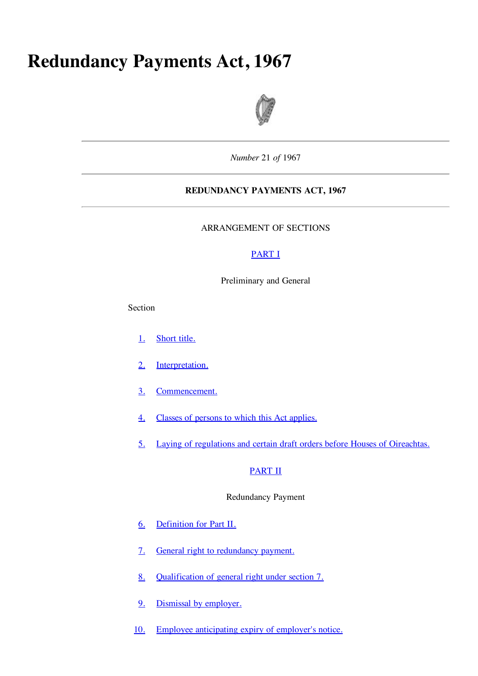# **Redundancy Payments Act, 1967**



*Number* 21 *of* 1967

## **REDUNDANCY PAYMENTS ACT, 1967**

## ARRANGEMENT OF SECTIONS

## PART I

## Preliminary and General

# Section

- 1. Short title.
- 2. Interpretation.
- 3. Commencement.
- 4. Classes of persons to which this Act applies.
- 5. Laying of regulations and certain draft orders before Houses of Oireachtas.

#### PART II

#### Redundancy Payment

- 6. Definition for Part II.
- 7. General right to redundancy payment.
- 8. Qualification of general right under section 7.
- 9. Dismissal by employer.
- 10. Employee anticipating expiry of employer's notice.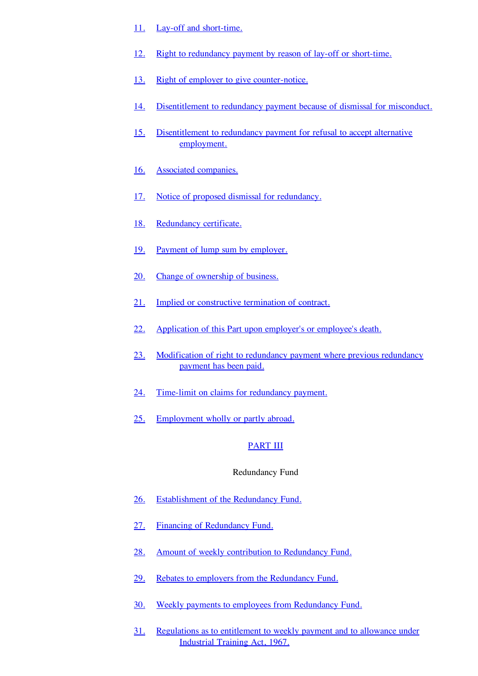- 11. Lay-off and short-time.
- 12. Right to redundancy payment by reason of lay-off or short-time.
- 13. Right of employer to give counter-notice.
- 14. Disentitlement to redundancy payment because of dismissal for misconduct.
- 15. Disentitlement to redundancy payment for refusal to accept alternative employment.
- 16. Associated companies.
- 17. Notice of proposed dismissal for redundancy.
- 18. Redundancy certificate.
- 19. Payment of lump sum by employer.
- 20. Change of ownership of business.
- 21. Implied or constructive termination of contract.
- 22. Application of this Part upon employer's or employee's death.
- 23. Modification of right to redundancy payment where previous redundancy payment has been paid.
- 24. Time-limit on claims for redundancy payment.
- 25. Employment wholly or partly abroad.

## PART III

## Redundancy Fund

- 26. Establishment of the Redundancy Fund.
- 27. Financing of Redundancy Fund.
- 28. Amount of weekly contribution to Redundancy Fund.
- 29. Rebates to employers from the Redundancy Fund.
- 30. Weekly payments to employees from Redundancy Fund.
- 31. Regulations as to entitlement to weekly payment and to allowance under Industrial Training Act, 1967.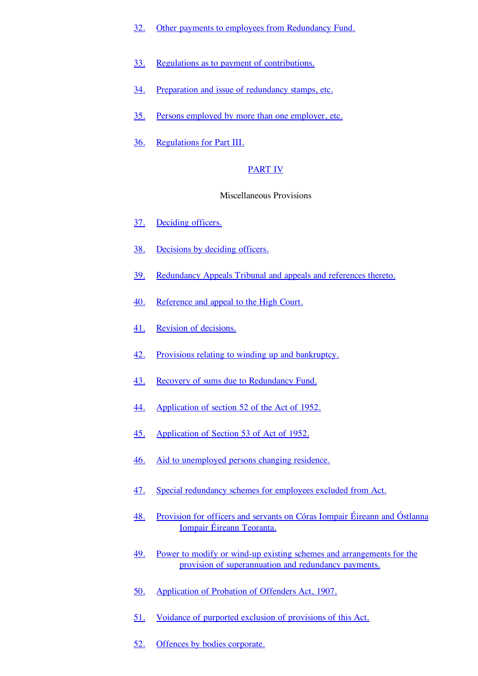- 32. Other payments to employees from Redundancy Fund.
- 33. Regulations as to payment of contributions.
- 34. Preparation and issue of redundancy stamps, etc.
- 35. Persons employed by more than one employer, etc.
- 36. Regulations for Part III.

# PART IV

#### Miscellaneous Provisions

- 37. Deciding officers.
- 38. Decisions by deciding officers.
- 39. Redundancy Appeals Tribunal and appeals and references thereto.
- 40. Reference and appeal to the High Court.
- 41. Revision of decisions.
- 42. Provisions relating to winding up and bankruptcy.
- 43. Recovery of sums due to Redundancy Fund.
- 44. Application of section 52 of the Act of 1952.
- 45. Application of Section 53 of Act of 1952.
- 46. Aid to unemployed persons changing residence.
- 47. Special redundancy schemes for employees excluded from Act.
- 48. Provision for officers and servants on Córas Iompair Éireann and Óstlanna Iompair Éireann Teoranta.
- 49. Power to modify or wind-up existing schemes and arrangements for the provision of superannuation and redundancy payments.
- 50. Application of Probation of Offenders Act, 1907.
- 51. Voidance of purported exclusion of provisions of this Act.
- 52. Offences by bodies corporate.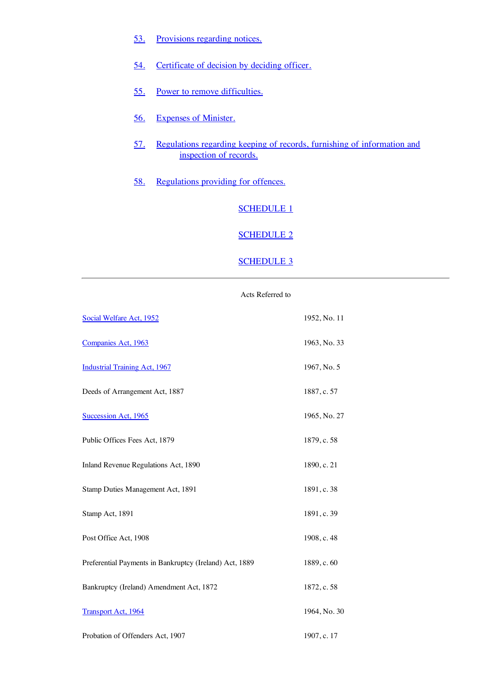- 53. Provisions regarding notices.
- 54. Certificate of decision by deciding officer.
- 55. Power to remove difficulties.
- 56. Expenses of Minister.
- 57. Regulations regarding keeping of records, furnishing of information and inspection of records.
- 58. Regulations providing for offences.

SCHEDULE 1

# SCHEDULE 2

# SCHEDULE 3

## Acts Referred to

| Social Welfare Act, 1952                                | 1952, No. 11 |
|---------------------------------------------------------|--------------|
| Companies Act, 1963                                     | 1963, No. 33 |
| <b>Industrial Training Act, 1967</b>                    | 1967, No. 5  |
| Deeds of Arrangement Act, 1887                          | 1887, c. 57  |
| Succession Act, 1965                                    | 1965, No. 27 |
| Public Offices Fees Act, 1879                           | 1879, c. 58  |
| Inland Revenue Regulations Act, 1890                    | 1890, c. 21  |
| Stamp Duties Management Act, 1891                       | 1891, c. 38  |
| Stamp Act, 1891                                         | 1891, c. 39  |
| Post Office Act, 1908                                   | 1908, c. 48  |
| Preferential Payments in Bankruptcy (Ireland) Act, 1889 | 1889, c. 60  |
| Bankruptcy (Ireland) Amendment Act, 1872                | 1872, c. 58  |
| <b>Transport Act, 1964</b>                              | 1964, No. 30 |
| Probation of Offenders Act, 1907                        | 1907, c. 17  |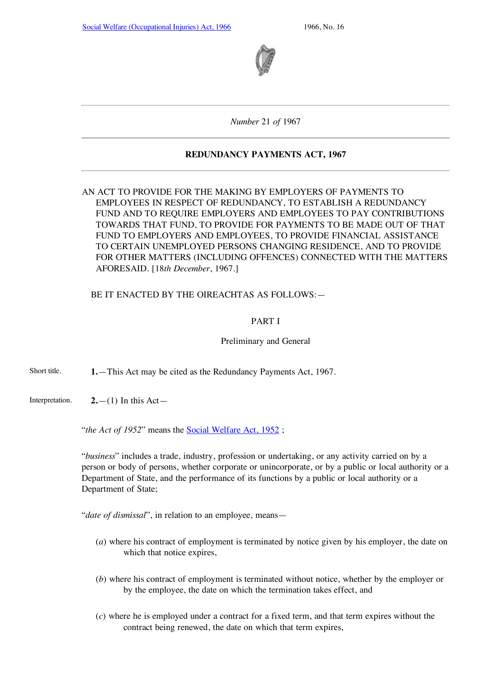

*Number* 21 *of* 1967

# **REDUNDANCY PAYMENTS ACT, 1967**

AN ACT TO PROVIDE FOR THE MAKING BY EMPLOYERS OF PAYMENTS TO EMPLOYEES IN RESPECT OF REDUNDANCY, TO ESTABLISH A REDUNDANCY FUND AND TO REQUIRE EMPLOYERS AND EMPLOYEES TO PAY CONTRIBUTIONS TOWARDS THAT FUND, TO PROVIDE FOR PAYMENTS TO BE MADE OUT OF THAT FUND TO EMPLOYERS AND EMPLOYEES, TO PROVIDE FINANCIAL ASSISTANCE TO CERTAIN UNEMPLOYED PERSONS CHANGING RESIDENCE, AND TO PROVIDE FOR OTHER MATTERS (INCLUDING OFFENCES) CONNECTED WITH THE MATTERS AFORESAID. [18*th December*, 1967.]

# BE IT ENACTED BY THE OIREACHTAS AS FOLLOWS:—

# PART I

# Preliminary and General

Short title. **1.**—This Act may be cited as the Redundancy Payments Act, 1967.

Interpretation.  $2.-(1)$  In this Act—

"*the Act of 1952*" means the Social [Welfare](http://www.irishstatutebook.ie/1952/en/act/pub/0011/index.html) Act, 1952 ;

"*business*" includes a trade, industry, profession or undertaking, or any activity carried on by a person or body of persons, whether corporate or unincorporate, or by a public or local authority or a Department of State, and the performance of its functions by a public or local authority or a Department of State;

"*date of dismissal*", in relation to an employee, means—

- (*a*) where his contract of employment is terminated by notice given by his employer, the date on which that notice expires,
- (*b*) where his contract of employment is terminated without notice, whether by the employer or by the employee, the date on which the termination takes effect, and
- (*c*) where he is employed under a contract for a fixed term, and that term expires without the contract being renewed, the date on which that term expires,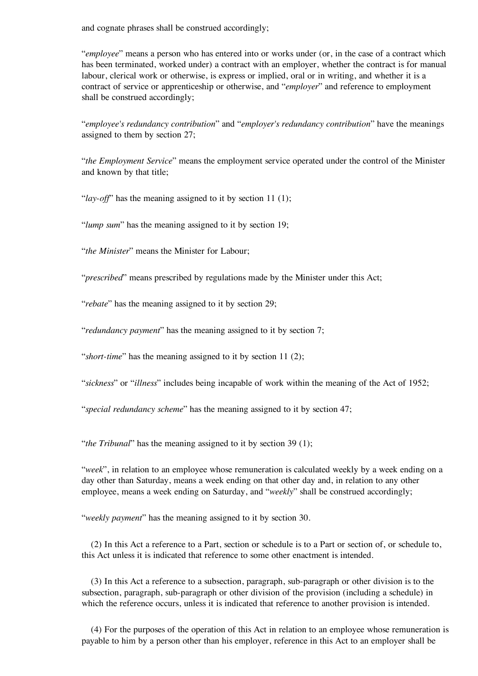and cognate phrases shall be construed accordingly;

"*employee*" means a person who has entered into or works under (or, in the case of a contract which has been terminated, worked under) a contract with an employer, whether the contract is for manual labour, clerical work or otherwise, is express or implied, oral or in writing, and whether it is a contract of service or apprenticeship or otherwise, and "*employer*" and reference to employment shall be construed accordingly;

"*employee's redundancy contribution*" and "*employer's redundancy contribution*" have the meanings assigned to them by section 27;

"*the Employment Service*" means the employment service operated under the control of the Minister and known by that title;

"*lay-off*" has the meaning assigned to it by section 11 (1);

"*lump sum*" has the meaning assigned to it by section 19;

"*the Minister*" means the Minister for Labour;

"*prescribed*" means prescribed by regulations made by the Minister under this Act;

"*rebate*" has the meaning assigned to it by section 29;

"*redundancy payment*" has the meaning assigned to it by section 7;

"*short-time*" has the meaning assigned to it by section 11 (2);

"*sickness*" or "*illness*" includes being incapable of work within the meaning of the Act of 1952;

"*special redundancy scheme*" has the meaning assigned to it by section 47;

"*the Tribunal*" has the meaning assigned to it by section 39 (1);

"*week*", in relation to an employee whose remuneration is calculated weekly by a week ending on a day other than Saturday, means a week ending on that other day and, in relation to any other employee, means a week ending on Saturday, and "*weekly*" shall be construed accordingly;

"*weekly payment*" has the meaning assigned to it by section 30.

(2) In this Act a reference to a Part, section or schedule is to a Part or section of, or schedule to, this Act unless it is indicated that reference to some other enactment is intended.

(3) In this Act a reference to a subsection, paragraph, sub-paragraph or other division is to the subsection, paragraph, sub-paragraph or other division of the provision (including a schedule) in which the reference occurs, unless it is indicated that reference to another provision is intended.

(4) For the purposes of the operation of this Act in relation to an employee whose remuneration is payable to him by a person other than his employer, reference in this Act to an employer shall be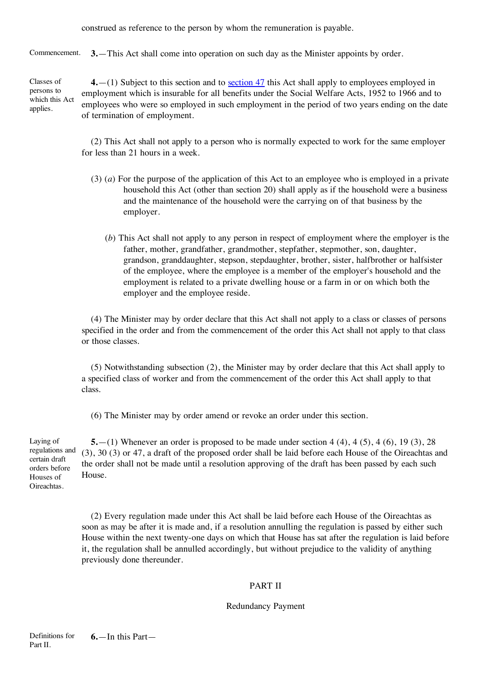construed as reference to the person by whom the remuneration is payable.

Commencement. **3.**—This Act shall come into operation on such day as the Minister appoints by order.

Classes of persons to which this Act applies.

**4.**—(1) Subject to this section and to <u>section 47</u> this Act shall apply to employees employed in employment which is insurable for all benefits under the Social Welfare Acts, 1952 to 1966 and to employees who were so employed in such employment in the period of two years ending on the date of termination of employment.

(2) This Act shall not apply to a person who is normally expected to work for the same employer for less than 21 hours in a week.

- (3) (*a*) For the purpose of the application of this Act to an employee who is employed in a private household this Act (other than section 20) shall apply as if the household were a business and the maintenance of the household were the carrying on of that business by the employer.
	- (*b*) This Act shall not apply to any person in respect of employment where the employer is the father, mother, grandfather, grandmother, stepfather, stepmother, son, daughter, grandson, granddaughter, stepson, stepdaughter, brother, sister, halfbrother or halfsister of the employee, where the employee is a member of the employer's household and the employment is related to a private dwelling house or a farm in or on which both the employer and the employee reside.

(4) The Minister may by order declare that this Act shall not apply to a class or classes of persons specified in the order and from the commencement of the order this Act shall not apply to that class or those classes.

(5) Notwithstanding subsection (2), the Minister may by order declare that this Act shall apply to a specified class of worker and from the commencement of the order this Act shall apply to that class.

(6) The Minister may by order amend or revoke an order under this section.

Laying of regulations and certain draft orders before Houses of Oireachtas. **5.**—(1) Whenever an order is proposed to be made under section 4 (4), 4 (5), 4 (6), 19 (3), 28 (3), 30 (3) or 47, a draft of the proposed order shall be laid before each House of the Oireachtas and the order shall not be made until a resolution approving of the draft has been passed by each such House.

> (2) Every regulation made under this Act shall be laid before each House of the Oireachtas as soon as may be after it is made and, if a resolution annulling the regulation is passed by either such House within the next twenty-one days on which that House has sat after the regulation is laid before it, the regulation shall be annulled accordingly, but without prejudice to the validity of anything previously done thereunder.

# PART II

Redundancy Payment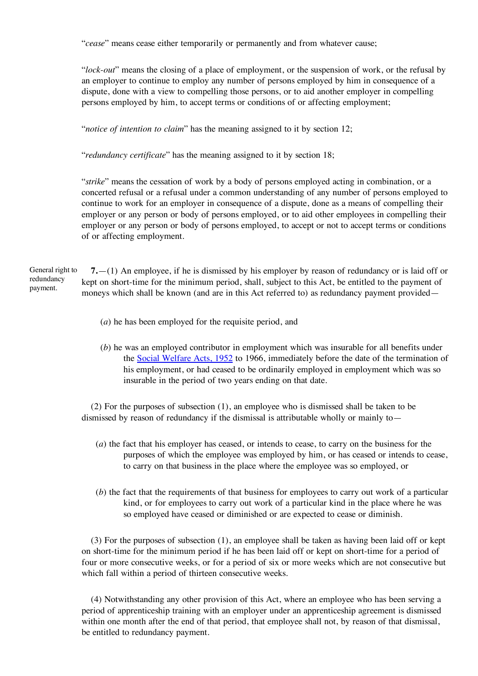"*cease*" means cease either temporarily or permanently and from whatever cause;

"*lock-out*" means the closing of a place of employment, or the suspension of work, or the refusal by an employer to continue to employ any number of persons employed by him in consequence of a dispute, done with a view to compelling those persons, or to aid another employer in compelling persons employed by him, to accept terms or conditions of or affecting employment;

"*notice of intention to claim*" has the meaning assigned to it by section 12;

"*redundancy certificate*" has the meaning assigned to it by section 18;

"*strike*" means the cessation of work by a body of persons employed acting in combination, or a concerted refusal or a refusal under a common understanding of any number of persons employed to continue to work for an employer in consequence of a dispute, done as a means of compelling their employer or any person or body of persons employed, or to aid other employees in compelling their employer or any person or body of persons employed, to accept or not to accept terms or conditions of or affecting employment.

General right to redundancy payment. **7.**—(1) An employee, if he is dismissed by his employer by reason of redundancy or is laid off or kept on short-time for the minimum period, shall, subject to this Act, be entitled to the payment of moneys which shall be known (and are in this Act referred to) as redundancy payment provided—

(*a*) he has been employed for the requisite period, and

(*b*) he was an employed contributor in employment which was insurable for all benefits under the Social [Welfare](http://www.irishstatutebook.ie/1952/en/act/pub/0011/index.html) Acts, 1952 to 1966, immediately before the date of the termination of his employment, or had ceased to be ordinarily employed in employment which was so insurable in the period of two years ending on that date.

(2) For the purposes of subsection (1), an employee who is dismissed shall be taken to be dismissed by reason of redundancy if the dismissal is attributable wholly or mainly to—

- (*a*) the fact that his employer has ceased, or intends to cease, to carry on the business for the purposes of which the employee was employed by him, or has ceased or intends to cease, to carry on that business in the place where the employee was so employed, or
- (*b*) the fact that the requirements of that business for employees to carry out work of a particular kind, or for employees to carry out work of a particular kind in the place where he was so employed have ceased or diminished or are expected to cease or diminish.

(3) For the purposes of subsection (1), an employee shall be taken as having been laid off or kept on short-time for the minimum period if he has been laid off or kept on short-time for a period of four or more consecutive weeks, or for a period of six or more weeks which are not consecutive but which fall within a period of thirteen consecutive weeks.

(4) Notwithstanding any other provision of this Act, where an employee who has been serving a period of apprenticeship training with an employer under an apprenticeship agreement is dismissed within one month after the end of that period, that employee shall not, by reason of that dismissal, be entitled to redundancy payment.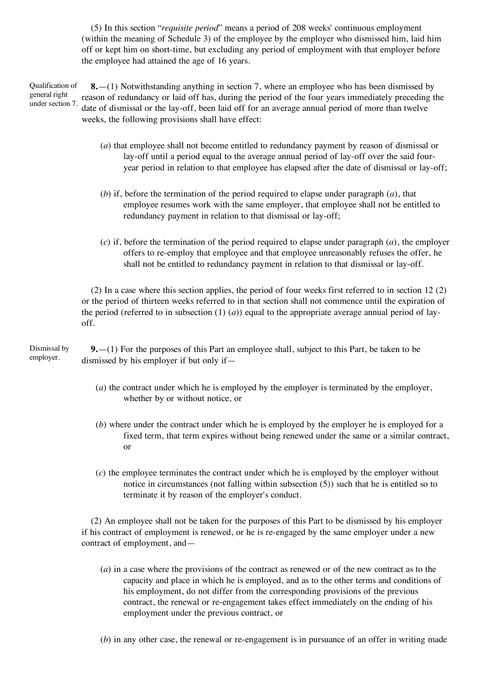(5) In this section "*requisite period*" means a period of 208 weeks' continuous employment (within the meaning of Schedule 3) of the employee by the employer who dismissed him, laid him off or kept him on short-time, but excluding any period of employment with that employer before the employee had attained the age of 16 years.

Qualification of general right under section 7. **8.**—(1) Notwithstanding anything in section 7, where an employee who has been dismissed by reason of redundancy or laid off has, during the period of the four years immediately preceding the date of dismissal or the lay-off, been laid off for an average annual period of more than twelve weeks, the following provisions shall have effect:

- (*a*) that employee shall not become entitled to redundancy payment by reason of dismissal or lay-off until a period equal to the average annual period of lay-off over the said fouryear period in relation to that employee has elapsed after the date of dismissal or lay-off;
- (*b*) if, before the termination of the period required to elapse under paragraph (*a*), that employee resumes work with the same employer, that employee shall not be entitled to redundancy payment in relation to that dismissal or lay-off;
- (*c*) if, before the termination of the period required to elapse under paragraph (*a*), the employer offers to re-employ that employee and that employee unreasonably refuses the offer, he shall not be entitled to redundancy payment in relation to that dismissal or lay-off.

(2) In a case where this section applies, the period of four weeks first referred to in section 12 (2) or the period of thirteen weeks referred to in that section shall not commence until the expiration of the period (referred to in subsection  $(1)$   $(a)$ ) equal to the appropriate average annual period of layoff.

Dismissal by employer. **9.**—(1) For the purposes of this Part an employee shall, subject to this Part, be taken to be dismissed by his employer if but only if—

- (*a*) the contract under which he is employed by the employer is terminated by the employer, whether by or without notice, or
- (*b*) where under the contract under which he is employed by the employer he is employed for a fixed term, that term expires without being renewed under the same or a similar contract, or
- (*c*) the employee terminates the contract under which he is employed by the employer without notice in circumstances (not falling within subsection (5)) such that he is entitled so to terminate it by reason of the employer's conduct.

(2) An employee shall not be taken for the purposes of this Part to be dismissed by his employer if his contract of employment is renewed, or he is re-engaged by the same employer under a new contract of employment, and—

- (*a*) in a case where the provisions of the contract as renewed or of the new contract as to the capacity and place in which he is employed, and as to the other terms and conditions of his employment, do not differ from the corresponding provisions of the previous contract, the renewal or re-engagement takes effect immediately on the ending of his employment under the previous contract, or
- (*b*) in any other case, the renewal or re-engagement is in pursuance of an offer in writing made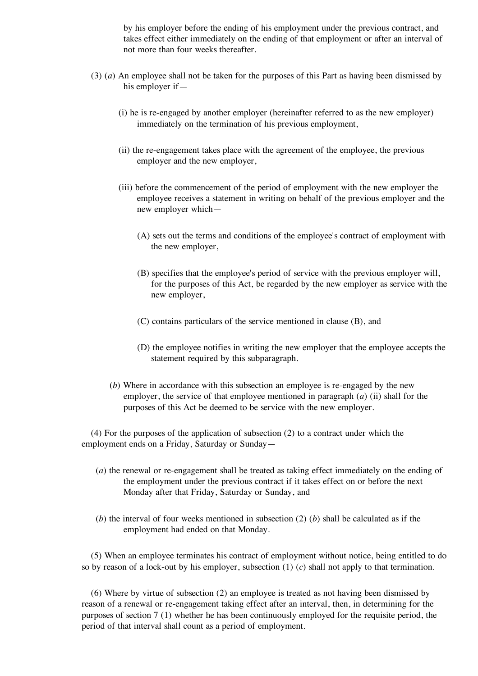by his employer before the ending of his employment under the previous contract, and takes effect either immediately on the ending of that employment or after an interval of not more than four weeks thereafter.

- (3) (*a*) An employee shall not be taken for the purposes of this Part as having been dismissed by his employer if—
	- (i) he is re-engaged by another employer (hereinafter referred to as the new employer) immediately on the termination of his previous employment,
	- (ii) the re-engagement takes place with the agreement of the employee, the previous employer and the new employer,
	- (iii) before the commencement of the period of employment with the new employer the employee receives a statement in writing on behalf of the previous employer and the new employer which—
		- (A) sets out the terms and conditions of the employee's contract of employment with the new employer,
		- (B) specifies that the employee's period of service with the previous employer will, for the purposes of this Act, be regarded by the new employer as service with the new employer,
		- (C) contains particulars of the service mentioned in clause (B), and
		- (D) the employee notifies in writing the new employer that the employee accepts the statement required by this subparagraph.
	- (*b*) Where in accordance with this subsection an employee is re-engaged by the new employer, the service of that employee mentioned in paragraph (*a*) (ii) shall for the purposes of this Act be deemed to be service with the new employer.

(4) For the purposes of the application of subsection (2) to a contract under which the employment ends on a Friday, Saturday or Sunday—

- (*a*) the renewal or re-engagement shall be treated as taking effect immediately on the ending of the employment under the previous contract if it takes effect on or before the next Monday after that Friday, Saturday or Sunday, and
- (*b*) the interval of four weeks mentioned in subsection (2) (*b*) shall be calculated as if the employment had ended on that Monday.

(5) When an employee terminates his contract of employment without notice, being entitled to do so by reason of a lock-out by his employer, subsection (1) (*c*) shall not apply to that termination.

(6) Where by virtue of subsection (2) an employee is treated as not having been dismissed by reason of a renewal or re-engagement taking effect after an interval, then, in determining for the purposes of section 7 (1) whether he has been continuously employed for the requisite period, the period of that interval shall count as a period of employment.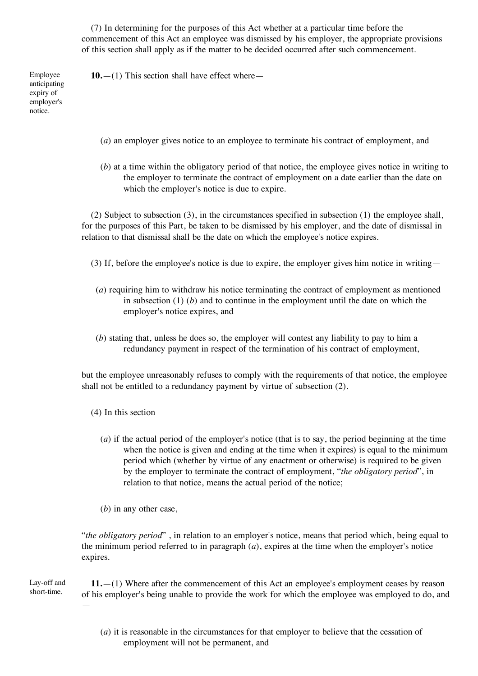(7) In determining for the purposes of this Act whether at a particular time before the commencement of this Act an employee was dismissed by his employer, the appropriate provisions of this section shall apply as if the matter to be decided occurred after such commencement.

**10.**—(1) This section shall have effect where—

Employee anticipating expiry of employer's notice.

- (*a*) an employer gives notice to an employee to terminate his contract of employment, and
- (*b*) at a time within the obligatory period of that notice, the employee gives notice in writing to the employer to terminate the contract of employment on a date earlier than the date on which the employer's notice is due to expire.

(2) Subject to subsection (3), in the circumstances specified in subsection (1) the employee shall, for the purposes of this Part, be taken to be dismissed by his employer, and the date of dismissal in relation to that dismissal shall be the date on which the employee's notice expires.

- (3) If, before the employee's notice is due to expire, the employer gives him notice in writing—
- (*a*) requiring him to withdraw his notice terminating the contract of employment as mentioned in subsection (1) (*b*) and to continue in the employment until the date on which the employer's notice expires, and
- (*b*) stating that, unless he does so, the employer will contest any liability to pay to him a redundancy payment in respect of the termination of his contract of employment,

but the employee unreasonably refuses to comply with the requirements of that notice, the employee shall not be entitled to a redundancy payment by virtue of subsection (2).

(4) In this section—

(*a*) if the actual period of the employer's notice (that is to say, the period beginning at the time when the notice is given and ending at the time when it expires) is equal to the minimum period which (whether by virtue of any enactment or otherwise) is required to be given by the employer to terminate the contract of employment, "*the obligatory period*", in relation to that notice, means the actual period of the notice;

(*b*) in any other case,

"*the obligatory period*" , in relation to an employer's notice, means that period which, being equal to the minimum period referred to in paragraph (*a*), expires at the time when the employer's notice expires.

Lay-off and short-time.

—

11.—(1) Where after the commencement of this Act an employee's employment ceases by reason of his employer's being unable to provide the work for which the employee was employed to do, and

(*a*) it is reasonable in the circumstances for that employer to believe that the cessation of employment will not be permanent, and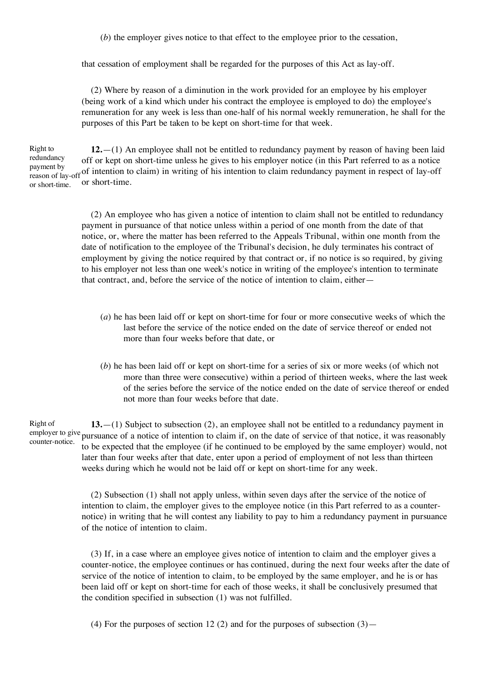(*b*) the employer gives notice to that effect to the employee prior to the cessation,

that cessation of employment shall be regarded for the purposes of this Act as lay-off.

(2) Where by reason of a diminution in the work provided for an employee by his employer (being work of a kind which under his contract the employee is employed to do) the employee's remuneration for any week is less than one-half of his normal weekly remuneration, he shall for the purposes of this Part be taken to be kept on short-time for that week.

Right to redundancy payment by reason of lay-off or short-time. **12.**—(1) An employee shall not be entitled to redundancy payment by reason of having been laid off or kept on short-time unless he gives to his employer notice (in this Part referred to as a notice of intention to claim) in writing of his intention to claim redundancy payment in respect of lay-off or short-time.

> (2) An employee who has given a notice of intention to claim shall not be entitled to redundancy payment in pursuance of that notice unless within a period of one month from the date of that notice, or, where the matter has been referred to the Appeals Tribunal, within one month from the date of notification to the employee of the Tribunal's decision, he duly terminates his contract of employment by giving the notice required by that contract or, if no notice is so required, by giving to his employer not less than one week's notice in writing of the employee's intention to terminate that contract, and, before the service of the notice of intention to claim, either—

- (*a*) he has been laid off or kept on short-time for four or more consecutive weeks of which the last before the service of the notice ended on the date of service thereof or ended not more than four weeks before that date, or
- (*b*) he has been laid off or kept on short-time for a series of six or more weeks (of which not more than three were consecutive) within a period of thirteen weeks, where the last week of the series before the service of the notice ended on the date of service thereof or ended not more than four weeks before that date.

Right of employer to give pursuance of a notice of intention to claim if, on the date of service of that notice, it was reasonably counter-notice. **13.**—(1) Subject to subsection (2), an employee shall not be entitled to a redundancy payment in to be expected that the employee (if he continued to be employed by the same employer) would, not later than four weeks after that date, enter upon a period of employment of not less than thirteen weeks during which he would not be laid off or kept on short-time for any week.

> (2) Subsection (1) shall not apply unless, within seven days after the service of the notice of intention to claim, the employer gives to the employee notice (in this Part referred to as a counternotice) in writing that he will contest any liability to pay to him a redundancy payment in pursuance of the notice of intention to claim.

> (3) If, in a case where an employee gives notice of intention to claim and the employer gives a counter-notice, the employee continues or has continued, during the next four weeks after the date of service of the notice of intention to claim, to be employed by the same employer, and he is or has been laid off or kept on short-time for each of those weeks, it shall be conclusively presumed that the condition specified in subsection (1) was not fulfilled.

(4) For the purposes of section 12 (2) and for the purposes of subsection  $(3)$ —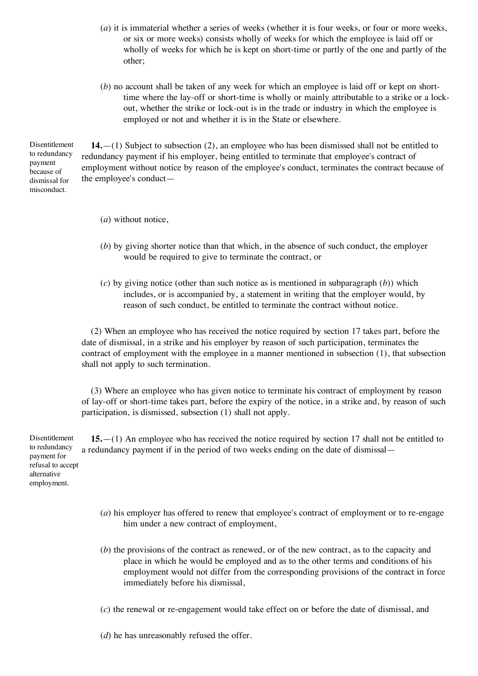- (*a*) it is immaterial whether a series of weeks (whether it is four weeks, or four or more weeks, or six or more weeks) consists wholly of weeks for which the employee is laid off or wholly of weeks for which he is kept on short-time or partly of the one and partly of the other;
- (*b*) no account shall be taken of any week for which an employee is laid off or kept on shorttime where the lay-off or short-time is wholly or mainly attributable to a strike or a lockout, whether the strike or lock-out is in the trade or industry in which the employee is employed or not and whether it is in the State or elsewhere.

Disentitlement **14.**—(1) Subject to subsection (2), an employee who has been dismissed shall not be entitled to redundancy payment if his employer, being entitled to terminate that employee's contract of employment without notice by reason of the employee's conduct, terminates the contract because of the employee's conduct—

(*a*) without notice,

- (*b*) by giving shorter notice than that which, in the absence of such conduct, the employer would be required to give to terminate the contract, or
- (*c*) by giving notice (other than such notice as is mentioned in subparagraph (*b*)) which includes, or is accompanied by, a statement in writing that the employer would, by reason of such conduct, be entitled to terminate the contract without notice.

(2) When an employee who has received the notice required by section 17 takes part, before the date of dismissal, in a strike and his employer by reason of such participation, terminates the contract of employment with the employee in a manner mentioned in subsection (1), that subsection shall not apply to such termination.

(3) Where an employee who has given notice to terminate his contract of employment by reason of lay-off or short-time takes part, before the expiry of the notice, in a strike and, by reason of such participation, is dismissed, subsection (1) shall not apply.

Disentitlement to redundancy payment for refusal to accept alternative employment. **15.**—(1) An employee who has received the notice required by section 17 shall not be entitled to a redundancy payment if in the period of two weeks ending on the date of dismissal—

- (*a*) his employer has offered to renew that employee's contract of employment or to re-engage him under a new contract of employment,
- (*b*) the provisions of the contract as renewed, or of the new contract, as to the capacity and place in which he would be employed and as to the other terms and conditions of his employment would not differ from the corresponding provisions of the contract in force immediately before his dismissal,

(*c*) the renewal or re-engagement would take effect on or before the date of dismissal, and

(*d*) he has unreasonably refused the offer.

to redundancy payment because of dismissal for misconduct.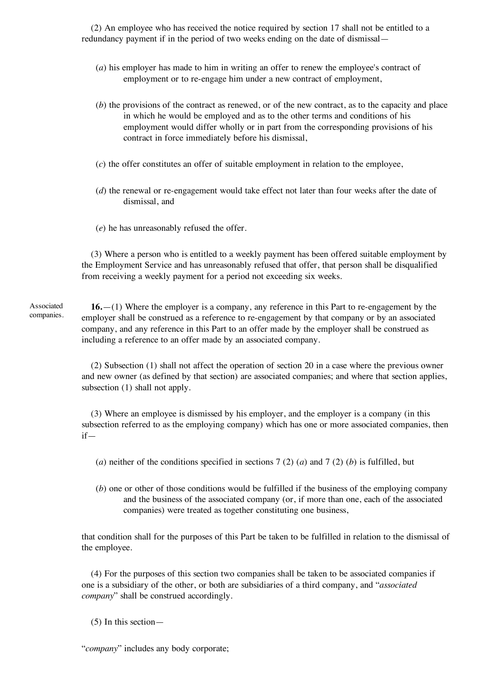(2) An employee who has received the notice required by section 17 shall not be entitled to a redundancy payment if in the period of two weeks ending on the date of dismissal—

- (*a*) his employer has made to him in writing an offer to renew the employee's contract of employment or to re-engage him under a new contract of employment,
- (*b*) the provisions of the contract as renewed, or of the new contract, as to the capacity and place in which he would be employed and as to the other terms and conditions of his employment would differ wholly or in part from the corresponding provisions of his contract in force immediately before his dismissal,
- (*c*) the offer constitutes an offer of suitable employment in relation to the employee,
- (*d*) the renewal or re-engagement would take effect not later than four weeks after the date of dismissal, and
- (*e*) he has unreasonably refused the offer.

(3) Where a person who is entitled to a weekly payment has been offered suitable employment by the Employment Service and has unreasonably refused that offer, that person shall be disqualified from receiving a weekly payment for a period not exceeding six weeks.

Associated companies. **16.**—(1) Where the employer is a company, any reference in this Part to re-engagement by the employer shall be construed as a reference to re-engagement by that company or by an associated company, and any reference in this Part to an offer made by the employer shall be construed as including a reference to an offer made by an associated company.

> (2) Subsection (1) shall not affect the operation of section 20 in a case where the previous owner and new owner (as defined by that section) are associated companies; and where that section applies, subsection (1) shall not apply.

> (3) Where an employee is dismissed by his employer, and the employer is a company (in this subsection referred to as the employing company) which has one or more associated companies, then if—

(*a*) neither of the conditions specified in sections 7 (2) (*a*) and 7 (2) (*b*) is fulfilled, but

(*b*) one or other of those conditions would be fulfilled if the business of the employing company and the business of the associated company (or, if more than one, each of the associated companies) were treated as together constituting one business,

that condition shall for the purposes of this Part be taken to be fulfilled in relation to the dismissal of the employee.

(4) For the purposes of this section two companies shall be taken to be associated companies if one is a subsidiary of the other, or both are subsidiaries of a third company, and "*associated company*" shall be construed accordingly.

(5) In this section—

"*company*" includes any body corporate;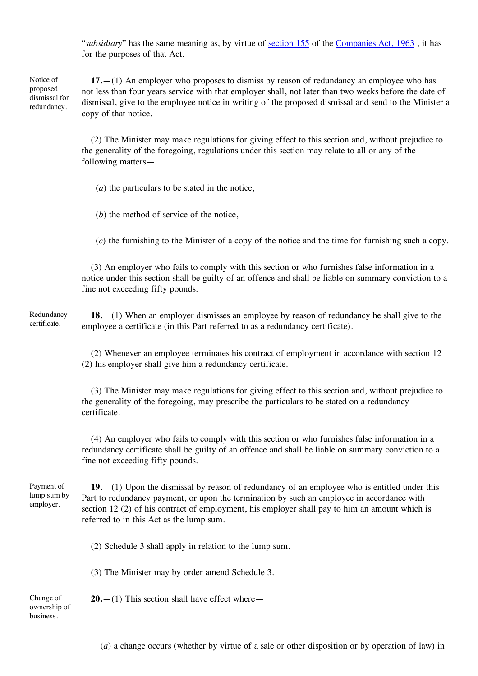"*subsidiary*" has the same meaning as, by virtue of [section](http://www.irishstatutebook.ie/1963/en/act/pub/0033/sec0155.html#sec155) 155 of the [Companies](http://www.irishstatutebook.ie/1963/en/act/pub/0033/index.html) Act, 1963 , it has for the purposes of that Act.

Notice of proposed dismissal for redundancy. **17.**—(1) An employer who proposes to dismiss by reason of redundancy an employee who has not less than four years service with that employer shall, not later than two weeks before the date of dismissal, give to the employee notice in writing of the proposed dismissal and send to the Minister a copy of that notice.

> (2) The Minister may make regulations for giving effect to this section and, without prejudice to the generality of the foregoing, regulations under this section may relate to all or any of the following matters—

(*a*) the particulars to be stated in the notice,

(*b*) the method of service of the notice,

(*c*) the furnishing to the Minister of a copy of the notice and the time for furnishing such a copy.

(3) An employer who fails to comply with this section or who furnishes false information in a notice under this section shall be guilty of an offence and shall be liable on summary conviction to a fine not exceeding fifty pounds.

Redundancy certificate.

**18.**—(1) When an employer dismisses an employee by reason of redundancy he shall give to the employee a certificate (in this Part referred to as a redundancy certificate).

(2) Whenever an employee terminates his contract of employment in accordance with section 12 (2) his employer shall give him a redundancy certificate.

(3) The Minister may make regulations for giving effect to this section and, without prejudice to the generality of the foregoing, may prescribe the particulars to be stated on a redundancy certificate.

(4) An employer who fails to comply with this section or who furnishes false information in a redundancy certificate shall be guilty of an offence and shall be liable on summary conviction to a fine not exceeding fifty pounds.

Payment of lump sum by employer. **19.**—(1) Upon the dismissal by reason of redundancy of an employee who is entitled under this Part to redundancy payment, or upon the termination by such an employee in accordance with section 12 (2) of his contract of employment, his employer shall pay to him an amount which is referred to in this Act as the lump sum.

(2) Schedule 3 shall apply in relation to the lump sum.

(3) The Minister may by order amend Schedule 3.

**20.**—(1) This section shall have effect where—

Change of ownership of business.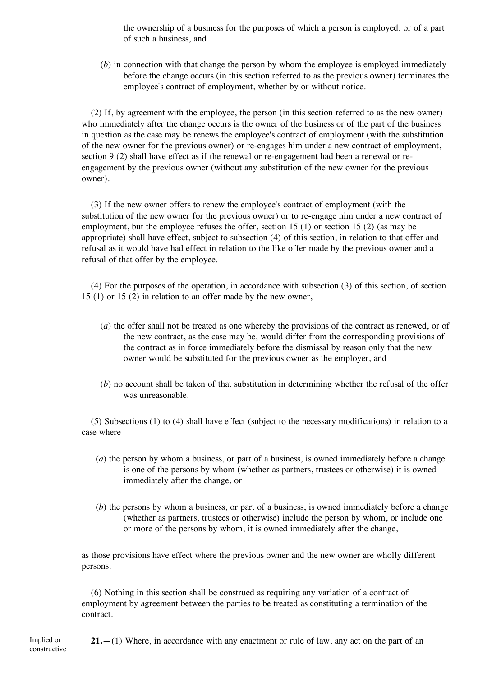the ownership of a business for the purposes of which a person is employed, or of a part of such a business, and

(*b*) in connection with that change the person by whom the employee is employed immediately before the change occurs (in this section referred to as the previous owner) terminates the employee's contract of employment, whether by or without notice.

(2) If, by agreement with the employee, the person (in this section referred to as the new owner) who immediately after the change occurs is the owner of the business or of the part of the business in question as the case may be renews the employee's contract of employment (with the substitution of the new owner for the previous owner) or re-engages him under a new contract of employment, section 9 (2) shall have effect as if the renewal or re-engagement had been a renewal or reengagement by the previous owner (without any substitution of the new owner for the previous owner).

(3) If the new owner offers to renew the employee's contract of employment (with the substitution of the new owner for the previous owner) or to re-engage him under a new contract of employment, but the employee refuses the offer, section 15 (1) or section 15 (2) (as may be appropriate) shall have effect, subject to subsection (4) of this section, in relation to that offer and refusal as it would have had effect in relation to the like offer made by the previous owner and a refusal of that offer by the employee.

(4) For the purposes of the operation, in accordance with subsection (3) of this section, of section 15 (1) or 15 (2) in relation to an offer made by the new owner,—

- (*a*) the offer shall not be treated as one whereby the provisions of the contract as renewed, or of the new contract, as the case may be, would differ from the corresponding provisions of the contract as in force immediately before the dismissal by reason only that the new owner would be substituted for the previous owner as the employer, and
- (*b*) no account shall be taken of that substitution in determining whether the refusal of the offer was unreasonable.

(5) Subsections (1) to (4) shall have effect (subject to the necessary modifications) in relation to a case where—

- (*a*) the person by whom a business, or part of a business, is owned immediately before a change is one of the persons by whom (whether as partners, trustees or otherwise) it is owned immediately after the change, or
- (*b*) the persons by whom a business, or part of a business, is owned immediately before a change (whether as partners, trustees or otherwise) include the person by whom, or include one or more of the persons by whom, it is owned immediately after the change,

as those provisions have effect where the previous owner and the new owner are wholly different persons.

(6) Nothing in this section shall be construed as requiring any variation of a contract of employment by agreement between the parties to be treated as constituting a termination of the contract.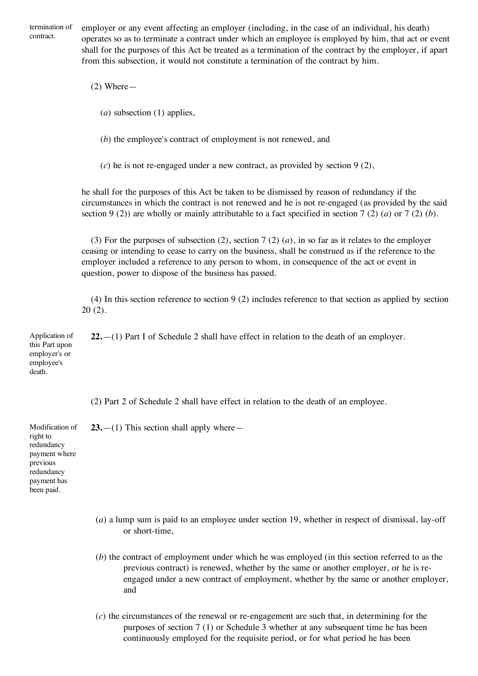termination of contract.

employer or any event affecting an employer (including, in the case of an individual, his death) operates so as to terminate a contract under which an employee is employed by him, that act or event shall for the purposes of this Act be treated as a termination of the contract by the employer, if apart from this subsection, it would not constitute a termination of the contract by him.

(2) Where—

(*a*) subsection (1) applies,

(*b*) the employee's contract of employment is not renewed, and

(*c*) he is not re-engaged under a new contract, as provided by section 9 (2),

he shall for the purposes of this Act be taken to be dismissed by reason of redundancy if the circumstances in which the contract is not renewed and he is not re-engaged (as provided by the said section 9 (2)) are wholly or mainly attributable to a fact specified in section 7 (2) (*a*) or 7 (2) (*b*).

(3) For the purposes of subsection (2), section 7 (2) (*a*), in so far as it relates to the employer ceasing or intending to cease to carry on the business, shall be construed as if the reference to the employer included a reference to any person to whom, in consequence of the act or event in question, power to dispose of the business has passed.

(4) In this section reference to section 9 (2) includes reference to that section as applied by section 20 (2).

Application of this Part upon employer's or employee's death. **22.**—(1) Part I of Schedule 2 shall have effect in relation to the death of an employer.

(2) Part 2 of Schedule 2 shall have effect in relation to the death of an employee.

Modification of right to redundancy payment where previous redundancy payment has been paid. **23.**—(1) This section shall apply where—

- (*a*) a lump sum is paid to an employee under section 19, whether in respect of dismissal, lay-off or short-time,
- (*b*) the contract of employment under which he was employed (in this section referred to as the previous contract) is renewed, whether by the same or another employer, or he is reengaged under a new contract of employment, whether by the same or another employer, and
- (*c*) the circumstances of the renewal or re-engagement are such that, in determining for the purposes of section 7 (1) or Schedule 3 whether at any subsequent time he has been continuously employed for the requisite period, or for what period he has been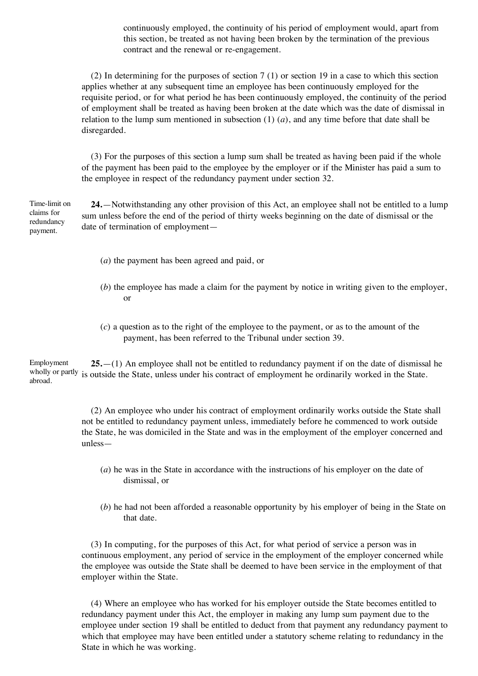continuously employed, the continuity of his period of employment would, apart from this section, be treated as not having been broken by the termination of the previous contract and the renewal or re-engagement.

(2) In determining for the purposes of section 7 (1) or section 19 in a case to which this section applies whether at any subsequent time an employee has been continuously employed for the requisite period, or for what period he has been continuously employed, the continuity of the period of employment shall be treated as having been broken at the date which was the date of dismissal in relation to the lump sum mentioned in subsection  $(1)$   $(a)$ , and any time before that date shall be disregarded.

(3) For the purposes of this section a lump sum shall be treated as having been paid if the whole of the payment has been paid to the employee by the employer or if the Minister has paid a sum to the employee in respect of the redundancy payment under section 32.

Time-limit on claims for redundancy payment. **24.**—Notwithstanding any other provision of this Act, an employee shall not be entitled to a lump sum unless before the end of the period of thirty weeks beginning on the date of dismissal or the date of termination of employment—

- (*a*) the payment has been agreed and paid, or
- (*b*) the employee has made a claim for the payment by notice in writing given to the employer, or
- (*c*) a question as to the right of the employee to the payment, or as to the amount of the payment, has been referred to the Tribunal under section 39.

Employment wholly or partly is outside the State, unless under his contract of employment he ordinarily worked in the State. abroad. **25.**—(1) An employee shall not be entitled to redundancy payment if on the date of dismissal he

> (2) An employee who under his contract of employment ordinarily works outside the State shall not be entitled to redundancy payment unless, immediately before he commenced to work outside the State, he was domiciled in the State and was in the employment of the employer concerned and unless—

- (*a*) he was in the State in accordance with the instructions of his employer on the date of dismissal, or
- (*b*) he had not been afforded a reasonable opportunity by his employer of being in the State on that date.

(3) In computing, for the purposes of this Act, for what period of service a person was in continuous employment, any period of service in the employment of the employer concerned while the employee was outside the State shall be deemed to have been service in the employment of that employer within the State.

(4) Where an employee who has worked for his employer outside the State becomes entitled to redundancy payment under this Act, the employer in making any lump sum payment due to the employee under section 19 shall be entitled to deduct from that payment any redundancy payment to which that employee may have been entitled under a statutory scheme relating to redundancy in the State in which he was working.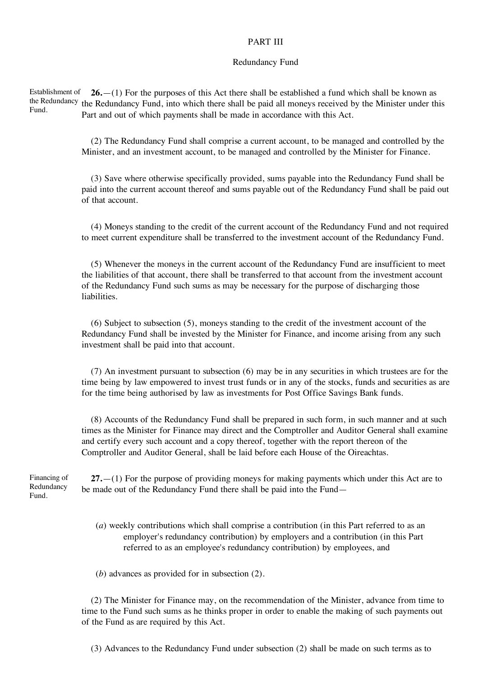#### PART III

#### Redundancy Fund

Establishment of the Redundancy the Redundancy Fund, into which there shall be paid all moneys received by the Minister under this Fund. **26.**—(1) For the purposes of this Act there shall be established a fund which shall be known as Part and out of which payments shall be made in accordance with this Act.

> (2) The Redundancy Fund shall comprise a current account, to be managed and controlled by the Minister, and an investment account, to be managed and controlled by the Minister for Finance.

(3) Save where otherwise specifically provided, sums payable into the Redundancy Fund shall be paid into the current account thereof and sums payable out of the Redundancy Fund shall be paid out of that account.

(4) Moneys standing to the credit of the current account of the Redundancy Fund and not required to meet current expenditure shall be transferred to the investment account of the Redundancy Fund.

(5) Whenever the moneys in the current account of the Redundancy Fund are insufficient to meet the liabilities of that account, there shall be transferred to that account from the investment account of the Redundancy Fund such sums as may be necessary for the purpose of discharging those liabilities.

(6) Subject to subsection (5), moneys standing to the credit of the investment account of the Redundancy Fund shall be invested by the Minister for Finance, and income arising from any such investment shall be paid into that account.

(7) An investment pursuant to subsection (6) may be in any securities in which trustees are for the time being by law empowered to invest trust funds or in any of the stocks, funds and securities as are for the time being authorised by law as investments for Post Office Savings Bank funds.

(8) Accounts of the Redundancy Fund shall be prepared in such form, in such manner and at such times as the Minister for Finance may direct and the Comptroller and Auditor General shall examine and certify every such account and a copy thereof, together with the report thereon of the Comptroller and Auditor General, shall be laid before each House of the Oireachtas.

Financing of Redundancy Fund.

**27.**—(1) For the purpose of providing moneys for making payments which under this Act are to be made out of the Redundancy Fund there shall be paid into the Fund—

(*a*) weekly contributions which shall comprise a contribution (in this Part referred to as an employer's redundancy contribution) by employers and a contribution (in this Part referred to as an employee's redundancy contribution) by employees, and

(*b*) advances as provided for in subsection (2).

(2) The Minister for Finance may, on the recommendation of the Minister, advance from time to time to the Fund such sums as he thinks proper in order to enable the making of such payments out of the Fund as are required by this Act.

(3) Advances to the Redundancy Fund under subsection (2) shall be made on such terms as to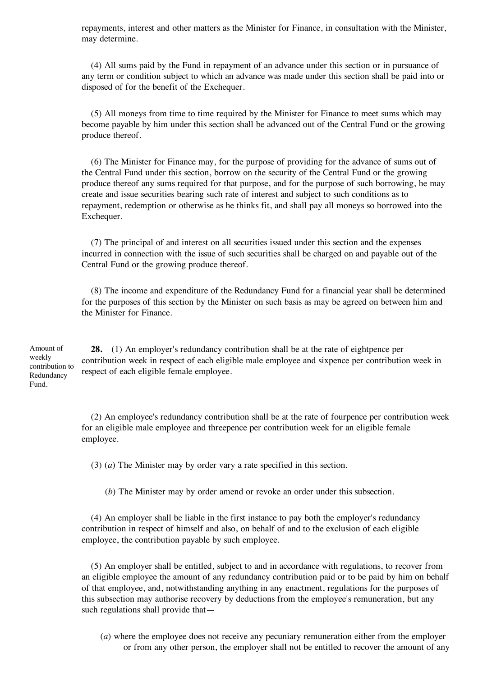repayments, interest and other matters as the Minister for Finance, in consultation with the Minister, may determine.

(4) All sums paid by the Fund in repayment of an advance under this section or in pursuance of any term or condition subject to which an advance was made under this section shall be paid into or disposed of for the benefit of the Exchequer.

(5) All moneys from time to time required by the Minister for Finance to meet sums which may become payable by him under this section shall be advanced out of the Central Fund or the growing produce thereof.

(6) The Minister for Finance may, for the purpose of providing for the advance of sums out of the Central Fund under this section, borrow on the security of the Central Fund or the growing produce thereof any sums required for that purpose, and for the purpose of such borrowing, he may create and issue securities bearing such rate of interest and subject to such conditions as to repayment, redemption or otherwise as he thinks fit, and shall pay all moneys so borrowed into the Exchequer.

(7) The principal of and interest on all securities issued under this section and the expenses incurred in connection with the issue of such securities shall be charged on and payable out of the Central Fund or the growing produce thereof.

(8) The income and expenditure of the Redundancy Fund for a financial year shall be determined for the purposes of this section by the Minister on such basis as may be agreed on between him and the Minister for Finance.

Amount of weekly contribution to Redundancy Fund. **28.**—(1) An employer's redundancy contribution shall be at the rate of eightpence per contribution week in respect of each eligible male employee and sixpence per contribution week in respect of each eligible female employee.

> (2) An employee's redundancy contribution shall be at the rate of fourpence per contribution week for an eligible male employee and threepence per contribution week for an eligible female employee.

(3) (*a*) The Minister may by order vary a rate specified in this section.

(*b*) The Minister may by order amend or revoke an order under this subsection.

(4) An employer shall be liable in the first instance to pay both the employer's redundancy contribution in respect of himself and also, on behalf of and to the exclusion of each eligible employee, the contribution payable by such employee.

(5) An employer shall be entitled, subject to and in accordance with regulations, to recover from an eligible employee the amount of any redundancy contribution paid or to be paid by him on behalf of that employee, and, notwithstanding anything in any enactment, regulations for the purposes of this subsection may authorise recovery by deductions from the employee's remuneration, but any such regulations shall provide that—

(*a*) where the employee does not receive any pecuniary remuneration either from the employer or from any other person, the employer shall not be entitled to recover the amount of any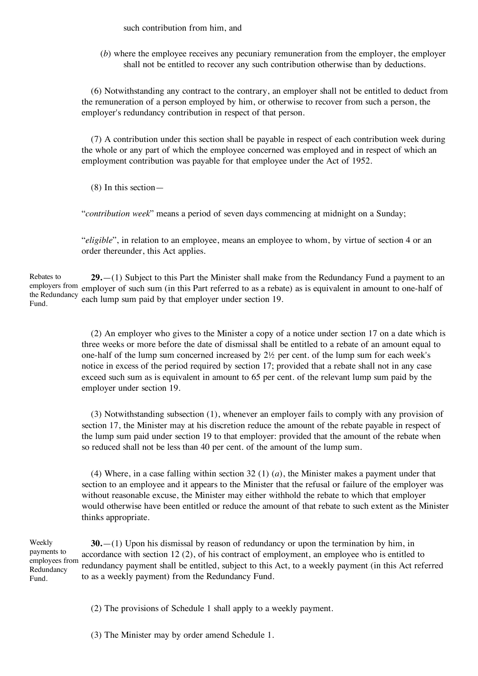such contribution from him, and

(*b*) where the employee receives any pecuniary remuneration from the employer, the employer shall not be entitled to recover any such contribution otherwise than by deductions.

(6) Notwithstanding any contract to the contrary, an employer shall not be entitled to deduct from the remuneration of a person employed by him, or otherwise to recover from such a person, the employer's redundancy contribution in respect of that person.

(7) A contribution under this section shall be payable in respect of each contribution week during the whole or any part of which the employee concerned was employed and in respect of which an employment contribution was payable for that employee under the Act of 1952.

(8) In this section—

"*contribution week*" means a period of seven days commencing at midnight on a Sunday;

"*eligible*", in relation to an employee, means an employee to whom, by virtue of section 4 or an order thereunder, this Act applies.

Rebates to employers from the Redundancy Fund. **29.**—(1) Subject to this Part the Minister shall make from the Redundancy Fund a payment to an employer of such sum (in this Part referred to as a rebate) as is equivalent in amount to one-half of each lump sum paid by that employer under section 19.

> (2) An employer who gives to the Minister a copy of a notice under section 17 on a date which is three weeks or more before the date of dismissal shall be entitled to a rebate of an amount equal to one-half of the lump sum concerned increased by 2½ per cent. of the lump sum for each week's notice in excess of the period required by section 17; provided that a rebate shall not in any case exceed such sum as is equivalent in amount to 65 per cent. of the relevant lump sum paid by the employer under section 19.

> (3) Notwithstanding subsection (1), whenever an employer fails to comply with any provision of section 17, the Minister may at his discretion reduce the amount of the rebate payable in respect of the lump sum paid under section 19 to that employer: provided that the amount of the rebate when so reduced shall not be less than 40 per cent. of the amount of the lump sum.

(4) Where, in a case falling within section 32 (1) (*a*), the Minister makes a payment under that section to an employee and it appears to the Minister that the refusal or failure of the employer was without reasonable excuse, the Minister may either withhold the rebate to which that employer would otherwise have been entitled or reduce the amount of that rebate to such extent as the Minister thinks appropriate.

Weekly payments to employees from Redundancy Fund. **30.**—(1) Upon his dismissal by reason of redundancy or upon the termination by him, in accordance with section 12 (2), of his contract of employment, an employee who is entitled to redundancy payment shall be entitled, subject to this Act, to a weekly payment (in this Act referred to as a weekly payment) from the Redundancy Fund.

(2) The provisions of Schedule 1 shall apply to a weekly payment.

(3) The Minister may by order amend Schedule 1.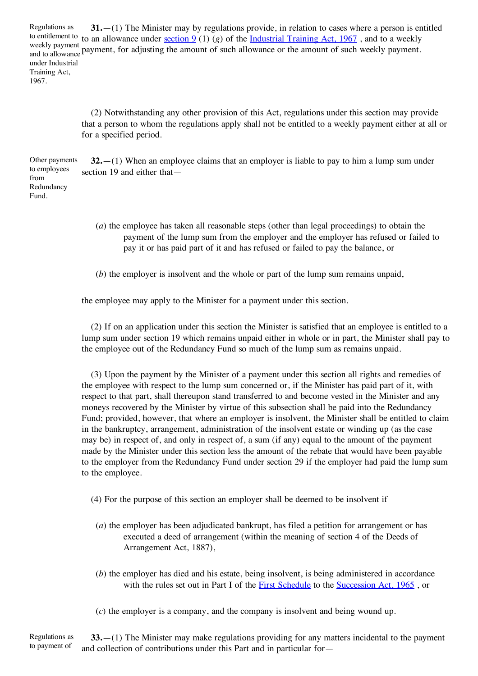Regulations as to entitlement to to an allowance under <u>[section](http://www.irishstatutebook.ie/1967/en/act/pub/0005/sec0009.html#sec9) 9</u> (1) (*g*) of the **[Industrial](http://www.irishstatutebook.ie/1967/en/act/pub/0005/index.html) Training Act, 1967**, and to a weekly weekly payment weekly payment, for adjusting the amount of such allowance or the amount of such weekly payment. under Industrial Training Act, 1967. **31.**—(1) The Minister may by regulations provide, in relation to cases where a person is entitled

> (2) Notwithstanding any other provision of this Act, regulations under this section may provide that a person to whom the regulations apply shall not be entitled to a weekly payment either at all or for a specified period.

Other payments to employees from Redundancy Fund. **32.**—(1) When an employee claims that an employer is liable to pay to him a lump sum under section 19 and either that—

> (*a*) the employee has taken all reasonable steps (other than legal proceedings) to obtain the payment of the lump sum from the employer and the employer has refused or failed to pay it or has paid part of it and has refused or failed to pay the balance, or

(*b*) the employer is insolvent and the whole or part of the lump sum remains unpaid,

the employee may apply to the Minister for a payment under this section.

(2) If on an application under this section the Minister is satisfied that an employee is entitled to a lump sum under section 19 which remains unpaid either in whole or in part, the Minister shall pay to the employee out of the Redundancy Fund so much of the lump sum as remains unpaid.

(3) Upon the payment by the Minister of a payment under this section all rights and remedies of the employee with respect to the lump sum concerned or, if the Minister has paid part of it, with respect to that part, shall thereupon stand transferred to and become vested in the Minister and any moneys recovered by the Minister by virtue of this subsection shall be paid into the Redundancy Fund; provided, however, that where an employer is insolvent, the Minister shall be entitled to claim in the bankruptcy, arrangement, administration of the insolvent estate or winding up (as the case may be) in respect of, and only in respect of, a sum (if any) equal to the amount of the payment made by the Minister under this section less the amount of the rebate that would have been payable to the employer from the Redundancy Fund under section 29 if the employer had paid the lump sum to the employee.

(4) For the purpose of this section an employer shall be deemed to be insolvent if—

- (*a*) the employer has been adjudicated bankrupt, has filed a petition for arrangement or has executed a deed of arrangement (within the meaning of section 4 of the Deeds of Arrangement Act, 1887),
- (*b*) the employer has died and his estate, being insolvent, is being administered in accordance with the rules set out in Part I of the First [Schedule](http://www.irishstatutebook.ie/1965/en/act/pub/0027/index.html) to the [Succession](http://www.irishstatutebook.ie/1965/en/act/pub/0027/index.html) Act, 1965, or
- (*c*) the employer is a company, and the company is insolvent and being wound up.

Regulations as to payment of **33.**—(1) The Minister may make regulations providing for any matters incidental to the payment and collection of contributions under this Part and in particular for—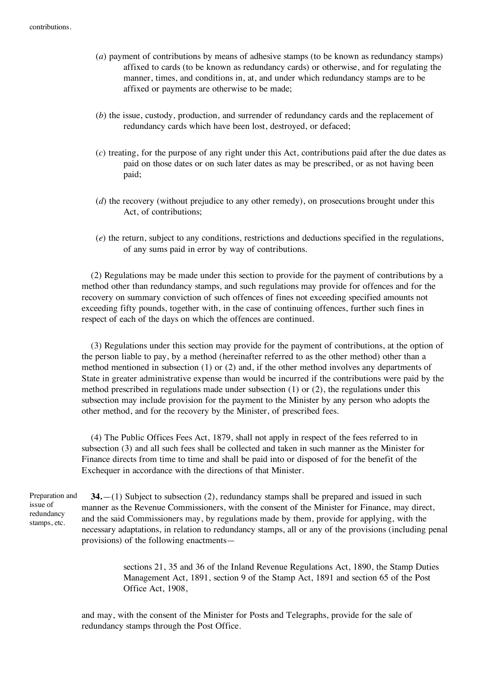- (*a*) payment of contributions by means of adhesive stamps (to be known as redundancy stamps) affixed to cards (to be known as redundancy cards) or otherwise, and for regulating the manner, times, and conditions in, at, and under which redundancy stamps are to be affixed or payments are otherwise to be made;
- (*b*) the issue, custody, production, and surrender of redundancy cards and the replacement of redundancy cards which have been lost, destroyed, or defaced;
- (*c*) treating, for the purpose of any right under this Act, contributions paid after the due dates as paid on those dates or on such later dates as may be prescribed, or as not having been paid;
- (*d*) the recovery (without prejudice to any other remedy), on prosecutions brought under this Act, of contributions;
- (*e*) the return, subject to any conditions, restrictions and deductions specified in the regulations, of any sums paid in error by way of contributions.

(2) Regulations may be made under this section to provide for the payment of contributions by a method other than redundancy stamps, and such regulations may provide for offences and for the recovery on summary conviction of such offences of fines not exceeding specified amounts not exceeding fifty pounds, together with, in the case of continuing offences, further such fines in respect of each of the days on which the offences are continued.

(3) Regulations under this section may provide for the payment of contributions, at the option of the person liable to pay, by a method (hereinafter referred to as the other method) other than a method mentioned in subsection (1) or (2) and, if the other method involves any departments of State in greater administrative expense than would be incurred if the contributions were paid by the method prescribed in regulations made under subsection  $(1)$  or  $(2)$ , the regulations under this subsection may include provision for the payment to the Minister by any person who adopts the other method, and for the recovery by the Minister, of prescribed fees.

(4) The Public Offices Fees Act, 1879, shall not apply in respect of the fees referred to in subsection (3) and all such fees shall be collected and taken in such manner as the Minister for Finance directs from time to time and shall be paid into or disposed of for the benefit of the Exchequer in accordance with the directions of that Minister.

Preparation and issue of redundancy stamps, etc. **34.**—(1) Subject to subsection (2), redundancy stamps shall be prepared and issued in such manner as the Revenue Commissioners, with the consent of the Minister for Finance, may direct, and the said Commissioners may, by regulations made by them, provide for applying, with the necessary adaptations, in relation to redundancy stamps, all or any of the provisions (including penal provisions) of the following enactments—

> sections 21, 35 and 36 of the Inland Revenue Regulations Act, 1890, the Stamp Duties Management Act, 1891, section 9 of the Stamp Act, 1891 and section 65 of the Post Office Act, 1908,

and may, with the consent of the Minister for Posts and Telegraphs, provide for the sale of redundancy stamps through the Post Office.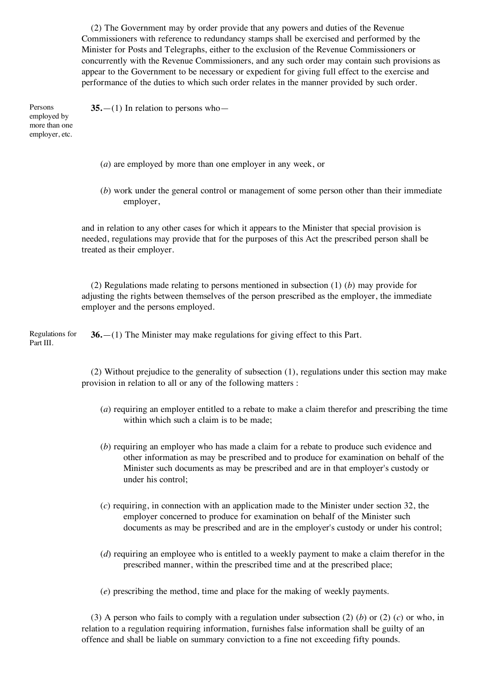(2) The Government may by order provide that any powers and duties of the Revenue Commissioners with reference to redundancy stamps shall be exercised and performed by the Minister for Posts and Telegraphs, either to the exclusion of the Revenue Commissioners or concurrently with the Revenue Commissioners, and any such order may contain such provisions as appear to the Government to be necessary or expedient for giving full effect to the exercise and performance of the duties to which such order relates in the manner provided by such order.

Persons employed by more than one employer, etc. **35.**—(1) In relation to persons who—

- (*a*) are employed by more than one employer in any week, or
- (*b*) work under the general control or management of some person other than their immediate employer,

and in relation to any other cases for which it appears to the Minister that special provision is needed, regulations may provide that for the purposes of this Act the prescribed person shall be treated as their employer.

(2) Regulations made relating to persons mentioned in subsection (1) (*b*) may provide for adjusting the rights between themselves of the person prescribed as the employer, the immediate employer and the persons employed.

Regulations for Part III. **36.**—(1) The Minister may make regulations for giving effect to this Part.

> (2) Without prejudice to the generality of subsection (1), regulations under this section may make provision in relation to all or any of the following matters :

- (*a*) requiring an employer entitled to a rebate to make a claim therefor and prescribing the time within which such a claim is to be made;
- (*b*) requiring an employer who has made a claim for a rebate to produce such evidence and other information as may be prescribed and to produce for examination on behalf of the Minister such documents as may be prescribed and are in that employer's custody or under his control;
- (*c*) requiring, in connection with an application made to the Minister under section 32, the employer concerned to produce for examination on behalf of the Minister such documents as may be prescribed and are in the employer's custody or under his control;
- (*d*) requiring an employee who is entitled to a weekly payment to make a claim therefor in the prescribed manner, within the prescribed time and at the prescribed place;
- (*e*) prescribing the method, time and place for the making of weekly payments.

(3) A person who fails to comply with a regulation under subsection (2) (*b*) or (2) (*c*) or who, in relation to a regulation requiring information, furnishes false information shall be guilty of an offence and shall be liable on summary conviction to a fine not exceeding fifty pounds.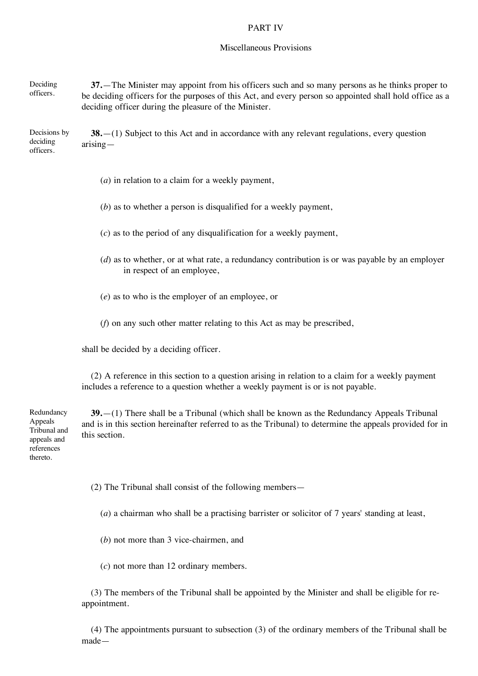#### PART IV

#### Miscellaneous Provisions

Deciding officers. **37.**—The Minister may appoint from his officers such and so many persons as he thinks proper to be deciding officers for the purposes of this Act, and every person so appointed shall hold office as a deciding officer during the pleasure of the Minister.

Decisions by deciding officers. **38.**—(1) Subject to this Act and in accordance with any relevant regulations, every question arising—

(*a*) in relation to a claim for a weekly payment,

(*b*) as to whether a person is disqualified for a weekly payment,

(*c*) as to the period of any disqualification for a weekly payment,

(*d*) as to whether, or at what rate, a redundancy contribution is or was payable by an employer in respect of an employee,

(*e*) as to who is the employer of an employee, or

(*f*) on any such other matter relating to this Act as may be prescribed,

shall be decided by a deciding officer.

(2) A reference in this section to a question arising in relation to a claim for a weekly payment includes a reference to a question whether a weekly payment is or is not payable.

Redundancy Appeals Tribunal and appeals and references thereto.

**39.**—(1) There shall be a Tribunal (which shall be known as the Redundancy Appeals Tribunal and is in this section hereinafter referred to as the Tribunal) to determine the appeals provided for in this section.

(2) The Tribunal shall consist of the following members—

(*a*) a chairman who shall be a practising barrister or solicitor of 7 years' standing at least,

(*b*) not more than 3 vice-chairmen, and

(*c*) not more than 12 ordinary members.

(3) The members of the Tribunal shall be appointed by the Minister and shall be eligible for reappointment.

(4) The appointments pursuant to subsection (3) of the ordinary members of the Tribunal shall be made—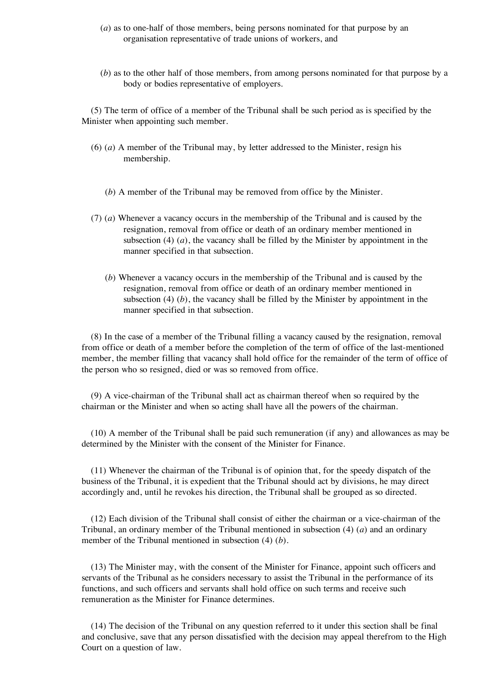- (*a*) as to one-half of those members, being persons nominated for that purpose by an organisation representative of trade unions of workers, and
- (*b*) as to the other half of those members, from among persons nominated for that purpose by a body or bodies representative of employers.

(5) The term of office of a member of the Tribunal shall be such period as is specified by the Minister when appointing such member.

- (6) (*a*) A member of the Tribunal may, by letter addressed to the Minister, resign his membership.
	- (*b*) A member of the Tribunal may be removed from office by the Minister.
- (7) (*a*) Whenever a vacancy occurs in the membership of the Tribunal and is caused by the resignation, removal from office or death of an ordinary member mentioned in subsection  $(4)$   $(a)$ , the vacancy shall be filled by the Minister by appointment in the manner specified in that subsection.
	- (*b*) Whenever a vacancy occurs in the membership of the Tribunal and is caused by the resignation, removal from office or death of an ordinary member mentioned in subsection (4) (*b*), the vacancy shall be filled by the Minister by appointment in the manner specified in that subsection.

(8) In the case of a member of the Tribunal filling a vacancy caused by the resignation, removal from office or death of a member before the completion of the term of office of the last-mentioned member, the member filling that vacancy shall hold office for the remainder of the term of office of the person who so resigned, died or was so removed from office.

(9) A vice-chairman of the Tribunal shall act as chairman thereof when so required by the chairman or the Minister and when so acting shall have all the powers of the chairman.

(10) A member of the Tribunal shall be paid such remuneration (if any) and allowances as may be determined by the Minister with the consent of the Minister for Finance.

(11) Whenever the chairman of the Tribunal is of opinion that, for the speedy dispatch of the business of the Tribunal, it is expedient that the Tribunal should act by divisions, he may direct accordingly and, until he revokes his direction, the Tribunal shall be grouped as so directed.

(12) Each division of the Tribunal shall consist of either the chairman or a vice-chairman of the Tribunal, an ordinary member of the Tribunal mentioned in subsection (4) (*a*) and an ordinary member of the Tribunal mentioned in subsection (4) (*b*).

(13) The Minister may, with the consent of the Minister for Finance, appoint such officers and servants of the Tribunal as he considers necessary to assist the Tribunal in the performance of its functions, and such officers and servants shall hold office on such terms and receive such remuneration as the Minister for Finance determines.

(14) The decision of the Tribunal on any question referred to it under this section shall be final and conclusive, save that any person dissatisfied with the decision may appeal therefrom to the High Court on a question of law.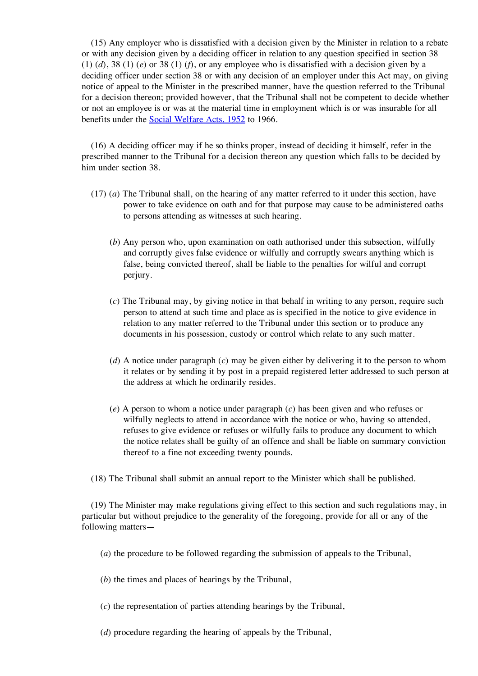(15) Any employer who is dissatisfied with a decision given by the Minister in relation to a rebate or with any decision given by a deciding officer in relation to any question specified in section 38  $(1)$   $(d)$ , 38  $(1)$   $(e)$  or 38  $(1)$   $(f)$ , or any employee who is dissatisfied with a decision given by a deciding officer under section 38 or with any decision of an employer under this Act may, on giving notice of appeal to the Minister in the prescribed manner, have the question referred to the Tribunal for a decision thereon; provided however, that the Tribunal shall not be competent to decide whether or not an employee is or was at the material time in employment which is or was insurable for all benefits under the Social [Welfare](http://www.irishstatutebook.ie/1952/en/act/pub/0011/index.html) Acts, 1952 to 1966.

(16) A deciding officer may if he so thinks proper, instead of deciding it himself, refer in the prescribed manner to the Tribunal for a decision thereon any question which falls to be decided by him under section 38.

- (17) (*a*) The Tribunal shall, on the hearing of any matter referred to it under this section, have power to take evidence on oath and for that purpose may cause to be administered oaths to persons attending as witnesses at such hearing.
	- (*b*) Any person who, upon examination on oath authorised under this subsection, wilfully and corruptly gives false evidence or wilfully and corruptly swears anything which is false, being convicted thereof, shall be liable to the penalties for wilful and corrupt perjury.
	- (*c*) The Tribunal may, by giving notice in that behalf in writing to any person, require such person to attend at such time and place as is specified in the notice to give evidence in relation to any matter referred to the Tribunal under this section or to produce any documents in his possession, custody or control which relate to any such matter.
	- (*d*) A notice under paragraph (*c*) may be given either by delivering it to the person to whom it relates or by sending it by post in a prepaid registered letter addressed to such person at the address at which he ordinarily resides.
	- (*e*) A person to whom a notice under paragraph (*c*) has been given and who refuses or wilfully neglects to attend in accordance with the notice or who, having so attended, refuses to give evidence or refuses or wilfully fails to produce any document to which the notice relates shall be guilty of an offence and shall be liable on summary conviction thereof to a fine not exceeding twenty pounds.

(18) The Tribunal shall submit an annual report to the Minister which shall be published.

(19) The Minister may make regulations giving effect to this section and such regulations may, in particular but without prejudice to the generality of the foregoing, provide for all or any of the following matters—

- (*a*) the procedure to be followed regarding the submission of appeals to the Tribunal,
- (*b*) the times and places of hearings by the Tribunal,
- (*c*) the representation of parties attending hearings by the Tribunal,
- (*d*) procedure regarding the hearing of appeals by the Tribunal,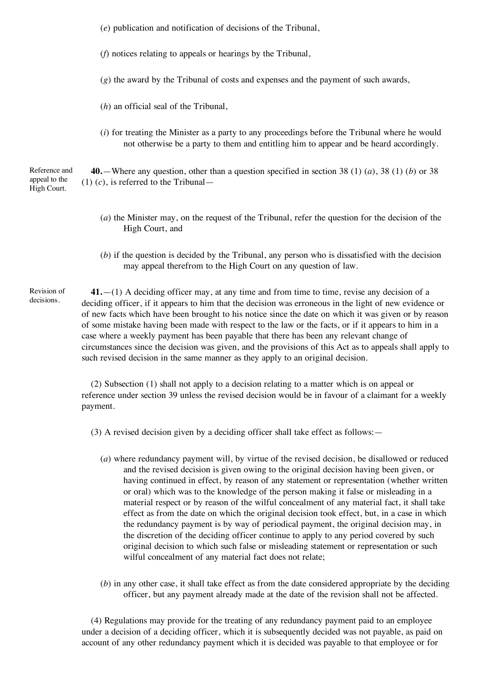(*e*) publication and notification of decisions of the Tribunal,

- (*f*) notices relating to appeals or hearings by the Tribunal,
- (*g*) the award by the Tribunal of costs and expenses and the payment of such awards,
- (*h*) an official seal of the Tribunal,
- (*i*) for treating the Minister as a party to any proceedings before the Tribunal where he would not otherwise be a party to them and entitling him to appear and be heard accordingly.

Reference and appeal to the **40.**—Where any question, other than a question specified in section 38 (1) (*a*), 38 (1) (*b*) or 38 (1)  $(c)$ , is referred to the Tribunal—

- (*a*) the Minister may, on the request of the Tribunal, refer the question for the decision of the High Court, and
- (*b*) if the question is decided by the Tribunal, any person who is dissatisfied with the decision may appeal therefrom to the High Court on any question of law.

**41.**—(1) A deciding officer may, at any time and from time to time, revise any decision of a deciding officer, if it appears to him that the decision was erroneous in the light of new evidence or of new facts which have been brought to his notice since the date on which it was given or by reason of some mistake having been made with respect to the law or the facts, or if it appears to him in a case where a weekly payment has been payable that there has been any relevant change of circumstances since the decision was given, and the provisions of this Act as to appeals shall apply to such revised decision in the same manner as they apply to an original decision.

(2) Subsection (1) shall not apply to a decision relating to a matter which is on appeal or reference under section 39 unless the revised decision would be in favour of a claimant for a weekly payment.

(3) A revised decision given by a deciding officer shall take effect as follows:—

- (*a*) where redundancy payment will, by virtue of the revised decision, be disallowed or reduced and the revised decision is given owing to the original decision having been given, or having continued in effect, by reason of any statement or representation (whether written or oral) which was to the knowledge of the person making it false or misleading in a material respect or by reason of the wilful concealment of any material fact, it shall take effect as from the date on which the original decision took effect, but, in a case in which the redundancy payment is by way of periodical payment, the original decision may, in the discretion of the deciding officer continue to apply to any period covered by such original decision to which such false or misleading statement or representation or such wilful concealment of any material fact does not relate;
- (*b*) in any other case, it shall take effect as from the date considered appropriate by the deciding officer, but any payment already made at the date of the revision shall not be affected.

(4) Regulations may provide for the treating of any redundancy payment paid to an employee under a decision of a deciding officer, which it is subsequently decided was not payable, as paid on account of any other redundancy payment which it is decided was payable to that employee or for

High Court.

Revision of decisions.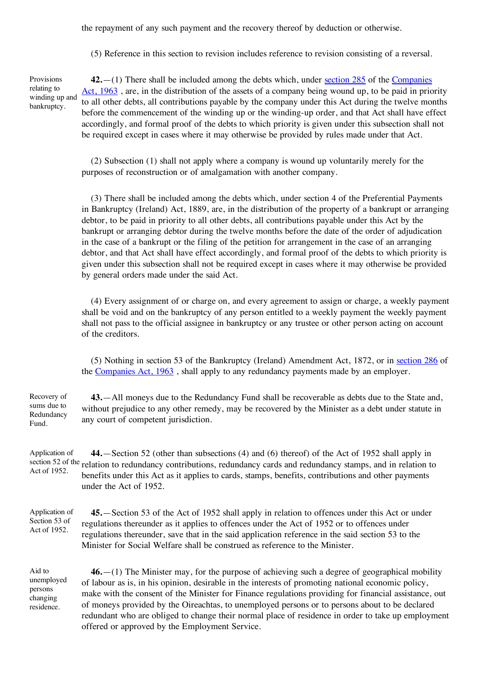the repayment of any such payment and the recovery thereof by deduction or otherwise.

(5) Reference in this section to revision includes reference to revision consisting of a reversal.

Provisions relating to winding up and bankruptcy.

**42.**—(1) There shall be included among the debts which, under [section](http://www.irishstatutebook.ie/1963/en/act/pub/0033/sec0285.html#sec285) 285 of the [Companies](http://www.irishstatutebook.ie/1963/en/act/pub/0033/index.html) Act, 1963 , are, in the distribution of the assets of a company being wound up, to be paid in priority to all other debts, all contributions payable by the company under this Act during the twelve months before the commencement of the winding up or the winding-up order, and that Act shall have effect accordingly, and formal proof of the debts to which priority is given under this subsection shall not be required except in cases where it may otherwise be provided by rules made under that Act.

(2) Subsection (1) shall not apply where a company is wound up voluntarily merely for the purposes of reconstruction or of amalgamation with another company.

(3) There shall be included among the debts which, under section 4 of the Preferential Payments in Bankruptcy (Ireland) Act, 1889, are, in the distribution of the property of a bankrupt or arranging debtor, to be paid in priority to all other debts, all contributions payable under this Act by the bankrupt or arranging debtor during the twelve months before the date of the order of adjudication in the case of a bankrupt or the filing of the petition for arrangement in the case of an arranging debtor, and that Act shall have effect accordingly, and formal proof of the debts to which priority is given under this subsection shall not be required except in cases where it may otherwise be provided by general orders made under the said Act.

(4) Every assignment of or charge on, and every agreement to assign or charge, a weekly payment shall be void and on the bankruptcy of any person entitled to a weekly payment the weekly payment shall not pass to the official assignee in bankruptcy or any trustee or other person acting on account of the creditors.

(5) Nothing in section 53 of the Bankruptcy (Ireland) Amendment Act, 1872, or in [section](http://www.irishstatutebook.ie/1963/en/act/pub/0033/sec0286.html#sec286) 286 of the [Companies](http://www.irishstatutebook.ie/1963/en/act/pub/0033/index.html) Act, 1963 , shall apply to any redundancy payments made by an employer.

Recovery of sums due to Redundancy Fund. **43.**—All moneys due to the Redundancy Fund shall be recoverable as debts due to the State and, without prejudice to any other remedy, may be recovered by the Minister as a debt under statute in any court of competent jurisdiction.

Application of section 52 of the relation to redundancy contributions, redundancy cards and redundancy stamps, and in relation to Act of 1952. **44.**—Section 52 (other than subsections (4) and (6) thereof) of the Act of 1952 shall apply in benefits under this Act as it applies to cards, stamps, benefits, contributions and other payments under the Act of 1952.

Application of Section 53 of Act of 1952. **45.**—Section 53 of the Act of 1952 shall apply in relation to offences under this Act or under regulations thereunder as it applies to offences under the Act of 1952 or to offences under regulations thereunder, save that in the said application reference in the said section 53 to the Minister for Social Welfare shall be construed as reference to the Minister.

Aid to unemployed persons changing residence.

**46.**—(1) The Minister may, for the purpose of achieving such a degree of geographical mobility of labour as is, in his opinion, desirable in the interests of promoting national economic policy, make with the consent of the Minister for Finance regulations providing for financial assistance, out of moneys provided by the Oireachtas, to unemployed persons or to persons about to be declared redundant who are obliged to change their normal place of residence in order to take up employment offered or approved by the Employment Service.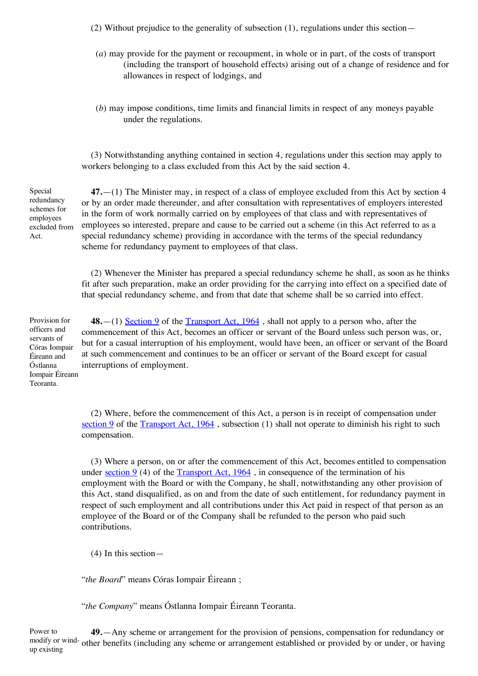(2) Without prejudice to the generality of subsection (1), regulations under this section—

- (*a*) may provide for the payment or recoupment, in whole or in part, of the costs of transport (including the transport of household effects) arising out of a change of residence and for allowances in respect of lodgings, and
- (*b*) may impose conditions, time limits and financial limits in respect of any moneys payable under the regulations.

(3) Notwithstanding anything contained in section 4, regulations under this section may apply to workers belonging to a class excluded from this Act by the said section 4.

Special redundancy schemes for employees excluded from Act.

**47.**—(1) The Minister may, in respect of a class of employee excluded from this Act by section 4 or by an order made thereunder, and after consultation with representatives of employers interested in the form of work normally carried on by employees of that class and with representatives of employees so interested, prepare and cause to be carried out a scheme (in this Act referred to as a special redundancy scheme) providing in accordance with the terms of the special redundancy scheme for redundancy payment to employees of that class.

(2) Whenever the Minister has prepared a special redundancy scheme he shall, as soon as he thinks fit after such preparation, make an order providing for the carrying into effect on a specified date of that special redundancy scheme, and from that date that scheme shall be so carried into effect.

Provision for officers and servants of Córas Iompair Éireann and Óstlanna Iompair Éireann Teoranta.

**48.**—(1) [Section](http://www.irishstatutebook.ie/1964/en/act/pub/0030/sec0009.html#sec9) 9 of the [Transport](http://www.irishstatutebook.ie/1964/en/act/pub/0030/index.html) Act, 1964 , shall not apply to a person who, after the commencement of this Act, becomes an officer or servant of the Board unless such person was, or, but for a casual interruption of his employment, would have been, an officer or servant of the Board at such commencement and continues to be an officer or servant of the Board except for casual interruptions of employment.

(2) Where, before the commencement of this Act, a person is in receipt of compensation under [section](http://www.irishstatutebook.ie/1964/en/act/pub/0030/sec0009.html#sec9) 9 of the [Transport](http://www.irishstatutebook.ie/1964/en/act/pub/0030/index.html) Act, 1964, subsection (1) shall not operate to diminish his right to such compensation.

(3) Where a person, on or after the commencement of this Act, becomes entitled to compensation under [section](http://www.irishstatutebook.ie/1964/en/act/pub/0030/sec0009.html#sec9) 9 (4) of the [Transport](http://www.irishstatutebook.ie/1964/en/act/pub/0030/index.html) Act,  $1964$ , in consequence of the termination of his employment with the Board or with the Company, he shall, notwithstanding any other provision of this Act, stand disqualified, as on and from the date of such entitlement, for redundancy payment in respect of such employment and all contributions under this Act paid in respect of that person as an employee of the Board or of the Company shall be refunded to the person who paid such contributions.

(4) In this section—

"*the Board*" means Córas Iompair Éireann ;

"*the Company*" means Óstlanna Iompair Éireann Teoranta.

Power to modify or wind-other benefits (including any scheme or arrangement established or provided by or under, or havingup existing **49.**—Any scheme or arrangement for the provision of pensions, compensation for redundancy or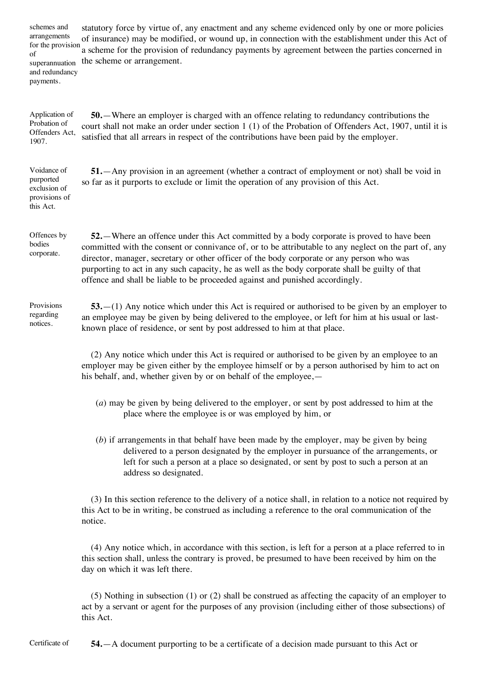schemes and arrangements for the provision of superannuation and redundancy payments. statutory force by virtue of, any enactment and any scheme evidenced only by one or more policies of insurance) may be modified, or wound up, in connection with the establishment under this Act of a scheme for the provision of redundancy payments by agreement between the parties concerned in the scheme or arrangement.

Application of Probation of Offenders Act, 1907. **50.**—Where an employer is charged with an offence relating to redundancy contributions the court shall not make an order under section 1 (1) of the Probation of Offenders Act, 1907, until it is satisfied that all arrears in respect of the contributions have been paid by the employer.

Voidance of purported exclusion of provisions of this Act.

**51.**—Any provision in an agreement (whether a contract of employment or not) shall be void in so far as it purports to exclude or limit the operation of any provision of this Act.

Offences by bodies corporate.

**52.**—Where an offence under this Act committed by a body corporate is proved to have been committed with the consent or connivance of, or to be attributable to any neglect on the part of, any director, manager, secretary or other officer of the body corporate or any person who was purporting to act in any such capacity, he as well as the body corporate shall be guilty of that offence and shall be liable to be proceeded against and punished accordingly.

Provisions regarding notices. **53.**—(1) Any notice which under this Act is required or authorised to be given by an employer to an employee may be given by being delivered to the employee, or left for him at his usual or lastknown place of residence, or sent by post addressed to him at that place.

> (2) Any notice which under this Act is required or authorised to be given by an employee to an employer may be given either by the employee himself or by a person authorised by him to act on his behalf, and, whether given by or on behalf of the employee,—

- (*a*) may be given by being delivered to the employer, or sent by post addressed to him at the place where the employee is or was employed by him, or
- (*b*) if arrangements in that behalf have been made by the employer, may be given by being delivered to a person designated by the employer in pursuance of the arrangements, or left for such a person at a place so designated, or sent by post to such a person at an address so designated.

(3) In this section reference to the delivery of a notice shall, in relation to a notice not required by this Act to be in writing, be construed as including a reference to the oral communication of the notice.

(4) Any notice which, in accordance with this section, is left for a person at a place referred to in this section shall, unless the contrary is proved, be presumed to have been received by him on the day on which it was left there.

(5) Nothing in subsection (1) or (2) shall be construed as affecting the capacity of an employer to act by a servant or agent for the purposes of any provision (including either of those subsections) of this Act.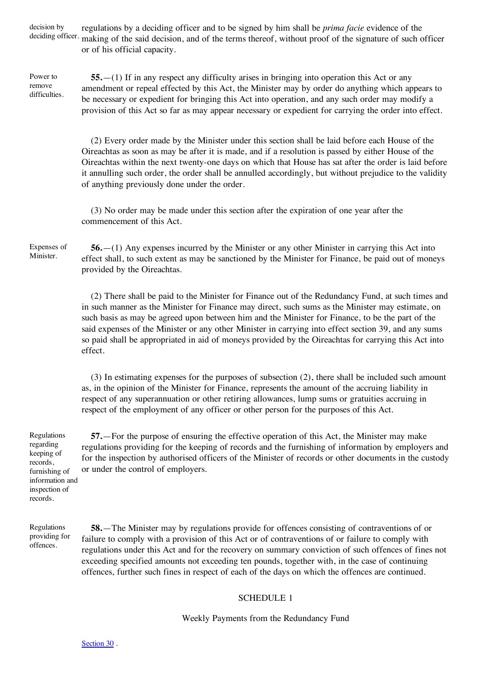decision by deciding officer. regulations by a deciding officer and to be signed by him shall be *prima facie* evidence of the making of the said decision, and of the terms thereof, without proof of the signature of such officer or of his official capacity.

Power to remove difficulties.

**55.**—(1) If in any respect any difficulty arises in bringing into operation this Act or any amendment or repeal effected by this Act, the Minister may by order do anything which appears to be necessary or expedient for bringing this Act into operation, and any such order may modify a provision of this Act so far as may appear necessary or expedient for carrying the order into effect.

(2) Every order made by the Minister under this section shall be laid before each House of the Oireachtas as soon as may be after it is made, and if a resolution is passed by either House of the Oireachtas within the next twenty-one days on which that House has sat after the order is laid before it annulling such order, the order shall be annulled accordingly, but without prejudice to the validity of anything previously done under the order.

(3) No order may be made under this section after the expiration of one year after the commencement of this Act.

Expenses of Minister. **56.**—(1) Any expenses incurred by the Minister or any other Minister in carrying this Act into effect shall, to such extent as may be sanctioned by the Minister for Finance, be paid out of moneys provided by the Oireachtas.

> (2) There shall be paid to the Minister for Finance out of the Redundancy Fund, at such times and in such manner as the Minister for Finance may direct, such sums as the Minister may estimate, on such basis as may be agreed upon between him and the Minister for Finance, to be the part of the said expenses of the Minister or any other Minister in carrying into effect section 39, and any sums so paid shall be appropriated in aid of moneys provided by the Oireachtas for carrying this Act into effect.

> (3) In estimating expenses for the purposes of subsection (2), there shall be included such amount as, in the opinion of the Minister for Finance, represents the amount of the accruing liability in respect of any superannuation or other retiring allowances, lump sums or gratuities accruing in respect of the employment of any officer or other person for the purposes of this Act.

Regulations regarding keeping of records, furnishing of information and inspection of records.

**57.**—For the purpose of ensuring the effective operation of this Act, the Minister may make regulations providing for the keeping of records and the furnishing of information by employers and for the inspection by authorised officers of the Minister of records or other documents in the custody or under the control of employers.

Regulations providing for offences.

**58.**—The Minister may by regulations provide for offences consisting of contraventions of or failure to comply with a provision of this Act or of contraventions of or failure to comply with regulations under this Act and for the recovery on summary conviction of such offences of fines not exceeding specified amounts not exceeding ten pounds, together with, in the case of continuing offences, further such fines in respect of each of the days on which the offences are continued.

# SCHEDULE 1

Weekly Payments from the Redundancy Fund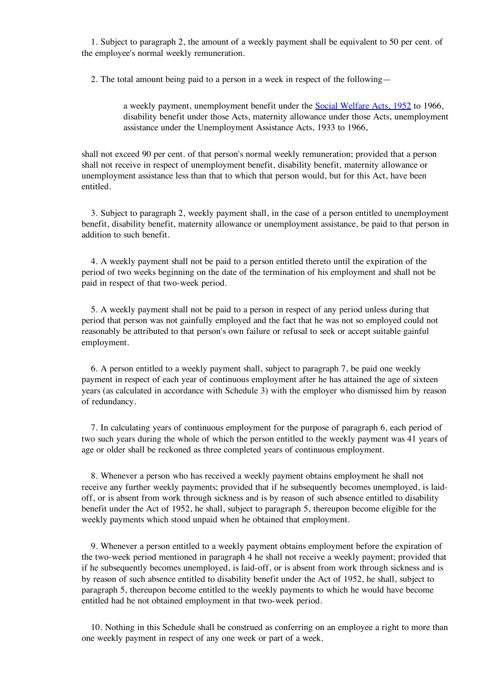1. Subject to paragraph 2, the amount of a weekly payment shall be equivalent to 50 per cent. of the employee's normal weekly remuneration.

2. The total amount being paid to a person in a week in respect of the following—

a weekly payment, unemployment benefit under the Social [Welfare](http://www.irishstatutebook.ie/1952/en/act/pub/0011/index.html) Acts, 1952 to 1966, disability benefit under those Acts, maternity allowance under those Acts, unemployment assistance under the Unemployment Assistance Acts, 1933 to 1966,

shall not exceed 90 per cent. of that person's normal weekly remuneration; provided that a person shall not receive in respect of unemployment benefit, disability benefit, maternity allowance or unemployment assistance less than that to which that person would, but for this Act, have been entitled.

3. Subject to paragraph 2, weekly payment shall, in the case of a person entitled to unemployment benefit, disability benefit, maternity allowance or unemployment assistance, be paid to that person in addition to such benefit.

4. A weekly payment shall not be paid to a person entitled thereto until the expiration of the period of two weeks beginning on the date of the termination of his employment and shall not be paid in respect of that two-week period.

5. A weekly payment shall not be paid to a person in respect of any period unless during that period that person was not gainfully employed and the fact that he was not so employed could not reasonably be attributed to that person's own failure or refusal to seek or accept suitable gainful employment.

6. A person entitled to a weekly payment shall, subject to paragraph 7, be paid one weekly payment in respect of each year of continuous employment after he has attained the age of sixteen years (as calculated in accordance with Schedule 3) with the employer who dismissed him by reason of redundancy.

7. In calculating years of continuous employment for the purpose of paragraph 6, each period of two such years during the whole of which the person entitled to the weekly payment was 41 years of age or older shall be reckoned as three completed years of continuous employment.

8. Whenever a person who has received a weekly payment obtains employment he shall not receive any further weekly payments; provided that if he subsequently becomes unemployed, is laidoff, or is absent from work through sickness and is by reason of such absence entitled to disability benefit under the Act of 1952, he shall, subject to paragraph 5, thereupon become eligible for the weekly payments which stood unpaid when he obtained that employment.

9. Whenever a person entitled to a weekly payment obtains employment before the expiration of the two-week period mentioned in paragraph 4 he shall not receive a weekly payment; provided that if he subsequently becomes unemployed, is laid-off, or is absent from work through sickness and is by reason of such absence entitled to disability benefit under the Act of 1952, he shall, subject to paragraph 5, thereupon become entitled to the weekly payments to which he would have become entitled had he not obtained employment in that two-week period.

10. Nothing in this Schedule shall be construed as conferring on an employee a right to more than one weekly payment in respect of any one week or part of a week.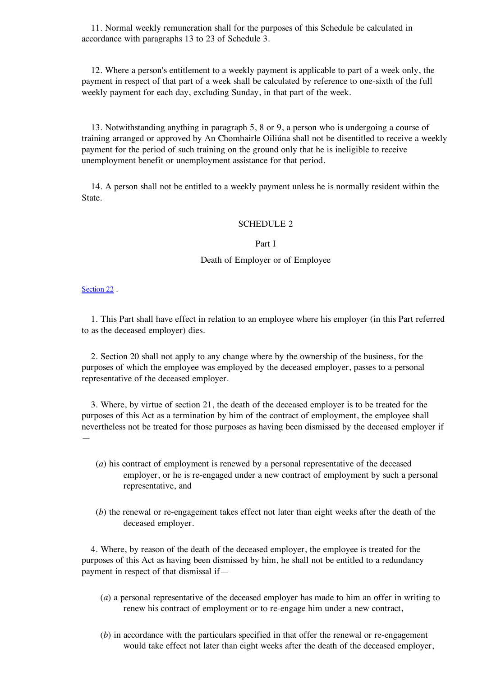11. Normal weekly remuneration shall for the purposes of this Schedule be calculated in accordance with paragraphs 13 to 23 of Schedule 3.

12. Where a person's entitlement to a weekly payment is applicable to part of a week only, the payment in respect of that part of a week shall be calculated by reference to one-sixth of the full weekly payment for each day, excluding Sunday, in that part of the week.

13. Notwithstanding anything in paragraph 5, 8 or 9, a person who is undergoing a course of training arranged or approved by An Chomhairle Oiliúna shall not be disentitled to receive a weekly payment for the period of such training on the ground only that he is ineligible to receive unemployment benefit or unemployment assistance for that period.

14. A person shall not be entitled to a weekly payment unless he is normally resident within the State.

#### SCHEDULE 2

#### Part I

### Death of Employer or of Employee

Section 22.

1. This Part shall have effect in relation to an employee where his employer (in this Part referred to as the deceased employer) dies.

2. Section 20 shall not apply to any change where by the ownership of the business, for the purposes of which the employee was employed by the deceased employer, passes to a personal representative of the deceased employer.

3. Where, by virtue of section 21, the death of the deceased employer is to be treated for the purposes of this Act as a termination by him of the contract of employment, the employee shall nevertheless not be treated for those purposes as having been dismissed by the deceased employer if —

- (*a*) his contract of employment is renewed by a personal representative of the deceased employer, or he is re-engaged under a new contract of employment by such a personal representative, and
- (*b*) the renewal or re-engagement takes effect not later than eight weeks after the death of the deceased employer.

4. Where, by reason of the death of the deceased employer, the employee is treated for the purposes of this Act as having been dismissed by him, he shall not be entitled to a redundancy payment in respect of that dismissal if—

- (*a*) a personal representative of the deceased employer has made to him an offer in writing to renew his contract of employment or to re-engage him under a new contract,
- (*b*) in accordance with the particulars specified in that offer the renewal or re-engagement would take effect not later than eight weeks after the death of the deceased employer,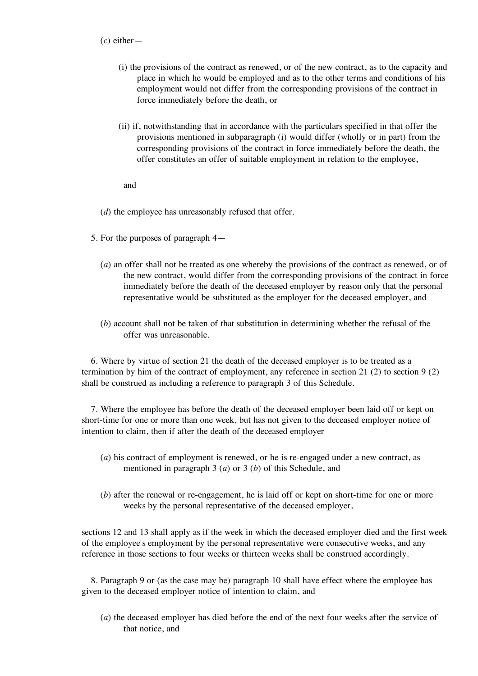## (*c*) either—

- (i) the provisions of the contract as renewed, or of the new contract, as to the capacity and place in which he would be employed and as to the other terms and conditions of his employment would not differ from the corresponding provisions of the contract in force immediately before the death, or
- (ii) if, notwithstanding that in accordance with the particulars specified in that offer the provisions mentioned in subparagraph (i) would differ (wholly or in part) from the corresponding provisions of the contract in force immediately before the death, the offer constitutes an offer of suitable employment in relation to the employee,

and

- (*d*) the employee has unreasonably refused that offer.
- 5. For the purposes of paragraph 4—
	- (*a*) an offer shall not be treated as one whereby the provisions of the contract as renewed, or of the new contract, would differ from the corresponding provisions of the contract in force immediately before the death of the deceased employer by reason only that the personal representative would be substituted as the employer for the deceased employer, and
	- (*b*) account shall not be taken of that substitution in determining whether the refusal of the offer was unreasonable.

6. Where by virtue of section 21 the death of the deceased employer is to be treated as a termination by him of the contract of employment, any reference in section 21 (2) to section 9 (2) shall be construed as including a reference to paragraph 3 of this Schedule.

7. Where the employee has before the death of the deceased employer been laid off or kept on short-time for one or more than one week, but has not given to the deceased employer notice of intention to claim, then if after the death of the deceased employer—

- (*a*) his contract of employment is renewed, or he is re-engaged under a new contract, as mentioned in paragraph 3 (*a*) or 3 (*b*) of this Schedule, and
- (*b*) after the renewal or re-engagement, he is laid off or kept on short-time for one or more weeks by the personal representative of the deceased employer,

sections 12 and 13 shall apply as if the week in which the deceased employer died and the first week of the employee's employment by the personal representative were consecutive weeks, and any reference in those sections to four weeks or thirteen weeks shall be construed accordingly.

8. Paragraph 9 or (as the case may be) paragraph 10 shall have effect where the employee has given to the deceased employer notice of intention to claim, and—

(*a*) the deceased employer has died before the end of the next four weeks after the service of that notice, and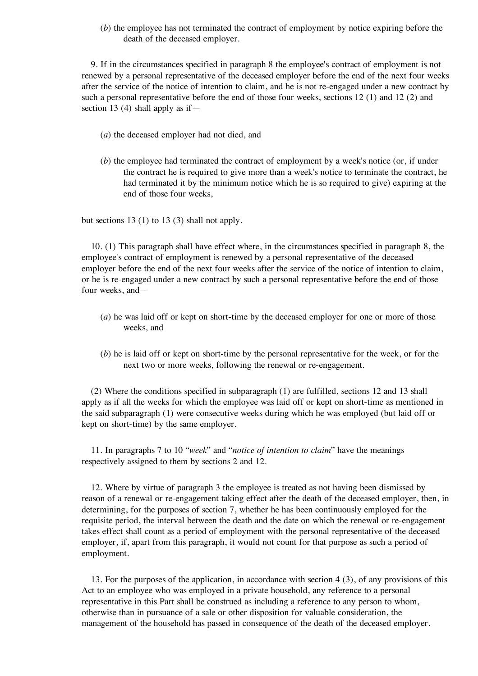(*b*) the employee has not terminated the contract of employment by notice expiring before the death of the deceased employer.

9. If in the circumstances specified in paragraph 8 the employee's contract of employment is not renewed by a personal representative of the deceased employer before the end of the next four weeks after the service of the notice of intention to claim, and he is not re-engaged under a new contract by such a personal representative before the end of those four weeks, sections 12 (1) and 12 (2) and section 13 (4) shall apply as if  $-$ 

- (*a*) the deceased employer had not died, and
- (*b*) the employee had terminated the contract of employment by a week's notice (or, if under the contract he is required to give more than a week's notice to terminate the contract, he had terminated it by the minimum notice which he is so required to give) expiring at the end of those four weeks,

but sections 13 (1) to 13 (3) shall not apply.

10. (1) This paragraph shall have effect where, in the circumstances specified in paragraph 8, the employee's contract of employment is renewed by a personal representative of the deceased employer before the end of the next four weeks after the service of the notice of intention to claim, or he is re-engaged under a new contract by such a personal representative before the end of those four weeks, and—

- (*a*) he was laid off or kept on short-time by the deceased employer for one or more of those weeks, and
- (*b*) he is laid off or kept on short-time by the personal representative for the week, or for the next two or more weeks, following the renewal or re-engagement.

(2) Where the conditions specified in subparagraph (1) are fulfilled, sections 12 and 13 shall apply as if all the weeks for which the employee was laid off or kept on short-time as mentioned in the said subparagraph (1) were consecutive weeks during which he was employed (but laid off or kept on short-time) by the same employer.

11. In paragraphs 7 to 10 "*week*" and "*notice of intention to claim*" have the meanings respectively assigned to them by sections 2 and 12.

12. Where by virtue of paragraph 3 the employee is treated as not having been dismissed by reason of a renewal or re-engagement taking effect after the death of the deceased employer, then, in determining, for the purposes of section 7, whether he has been continuously employed for the requisite period, the interval between the death and the date on which the renewal or re-engagement takes effect shall count as a period of employment with the personal representative of the deceased employer, if, apart from this paragraph, it would not count for that purpose as such a period of employment.

13. For the purposes of the application, in accordance with section 4 (3), of any provisions of this Act to an employee who was employed in a private household, any reference to a personal representative in this Part shall be construed as including a reference to any person to whom, otherwise than in pursuance of a sale or other disposition for valuable consideration, the management of the household has passed in consequence of the death of the deceased employer.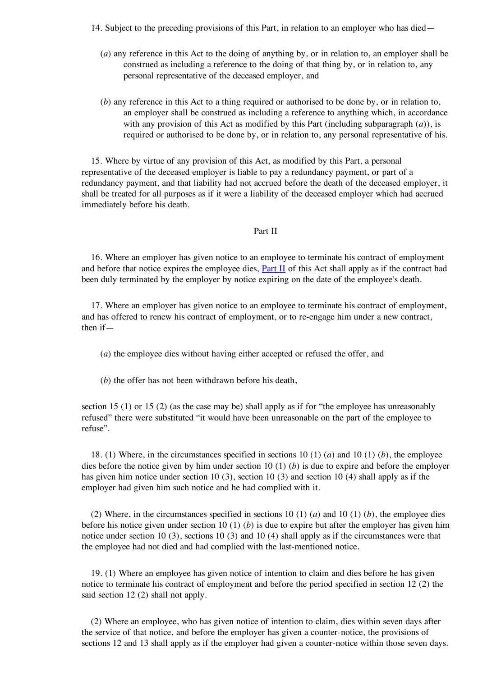14. Subject to the preceding provisions of this Part, in relation to an employer who has died—

- (*a*) any reference in this Act to the doing of anything by, or in relation to, an employer shall be construed as including a reference to the doing of that thing by, or in relation to, any personal representative of the deceased employer, and
- (*b*) any reference in this Act to a thing required or authorised to be done by, or in relation to, an employer shall be construed as including a reference to anything which, in accordance with any provision of this Act as modified by this Part (including subparagraph (*a*)), is required or authorised to be done by, or in relation to, any personal representative of his.

15. Where by virtue of any provision of this Act, as modified by this Part, a personal representative of the deceased employer is liable to pay a redundancy payment, or part of a redundancy payment, and that liability had not accrued before the death of the deceased employer, it shall be treated for all purposes as if it were a liability of the deceased employer which had accrued immediately before his death.

#### Part II

16. Where an employer has given notice to an employee to terminate his contract of employment and before that notice expires the employee dies,  $Part II$  of this Act shall apply as if the contract had been duly terminated by the employer by notice expiring on the date of the employee's death.

17. Where an employer has given notice to an employee to terminate his contract of employment, and has offered to renew his contract of employment, or to re-engage him under a new contract, then if—

(*a*) the employee dies without having either accepted or refused the offer, and

(*b*) the offer has not been withdrawn before his death,

section 15 (1) or 15 (2) (as the case may be) shall apply as if for "the employee has unreasonably refused" there were substituted "it would have been unreasonable on the part of the employee to refuse".

18. (1) Where, in the circumstances specified in sections 10 (1) (*a*) and 10 (1) (*b*), the employee dies before the notice given by him under section 10 (1) (*b*) is due to expire and before the employer has given him notice under section 10 (3), section 10 (3) and section 10 (4) shall apply as if the employer had given him such notice and he had complied with it.

(2) Where, in the circumstances specified in sections 10 (1) (*a*) and 10 (1) (*b*), the employee dies before his notice given under section 10 (1) (*b*) is due to expire but after the employer has given him notice under section 10 (3), sections 10 (3) and 10 (4) shall apply as if the circumstances were that the employee had not died and had complied with the last-mentioned notice.

19. (1) Where an employee has given notice of intention to claim and dies before he has given notice to terminate his contract of employment and before the period specified in section 12 (2) the said section 12 (2) shall not apply.

(2) Where an employee, who has given notice of intention to claim, dies within seven days after the service of that notice, and before the employer has given a counter-notice, the provisions of sections 12 and 13 shall apply as if the employer had given a counter-notice within those seven days.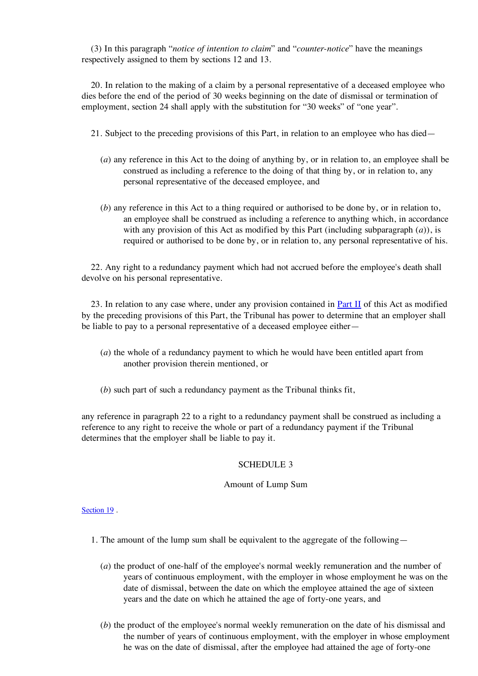(3) In this paragraph "*notice of intention to claim*" and "*counter-notice*" have the meanings respectively assigned to them by sections 12 and 13.

20. In relation to the making of a claim by a personal representative of a deceased employee who dies before the end of the period of 30 weeks beginning on the date of dismissal or termination of employment, section 24 shall apply with the substitution for "30 weeks" of "one year".

21. Subject to the preceding provisions of this Part, in relation to an employee who has died—

- (*a*) any reference in this Act to the doing of anything by, or in relation to, an employee shall be construed as including a reference to the doing of that thing by, or in relation to, any personal representative of the deceased employee, and
- (*b*) any reference in this Act to a thing required or authorised to be done by, or in relation to, an employee shall be construed as including a reference to anything which, in accordance with any provision of this Act as modified by this Part (including subparagraph (*a*)), is required or authorised to be done by, or in relation to, any personal representative of his.

22. Any right to a redundancy payment which had not accrued before the employee's death shall devolve on his personal representative.

23. In relation to any case where, under any provision contained in **Part II** of this Act as modified by the preceding provisions of this Part, the Tribunal has power to determine that an employer shall be liable to pay to a personal representative of a deceased employee either—

- (*a*) the whole of a redundancy payment to which he would have been entitled apart from another provision therein mentioned, or
- (*b*) such part of such a redundancy payment as the Tribunal thinks fit,

any reference in paragraph 22 to a right to a redundancy payment shall be construed as including a reference to any right to receive the whole or part of a redundancy payment if the Tribunal determines that the employer shall be liable to pay it.

## SCHEDULE 3

## Amount of Lump Sum

#### Section 19.

- 1. The amount of the lump sum shall be equivalent to the aggregate of the following—
	- (*a*) the product of one-half of the employee's normal weekly remuneration and the number of years of continuous employment, with the employer in whose employment he was on the date of dismissal, between the date on which the employee attained the age of sixteen years and the date on which he attained the age of forty-one years, and
	- (*b*) the product of the employee's normal weekly remuneration on the date of his dismissal and the number of years of continuous employment, with the employer in whose employment he was on the date of dismissal, after the employee had attained the age of forty-one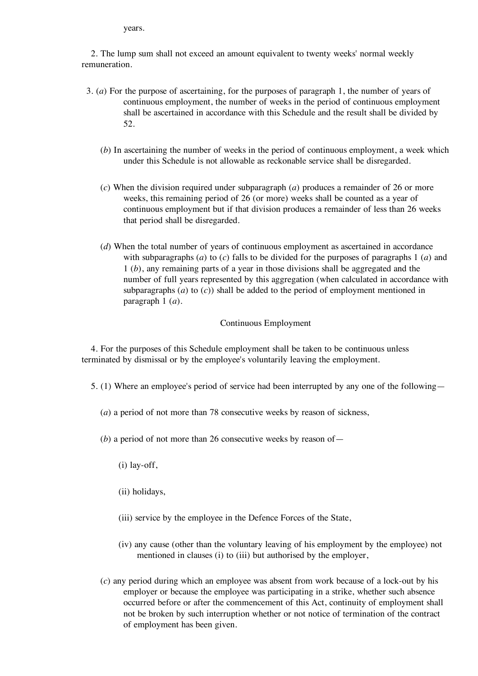years.

2. The lump sum shall not exceed an amount equivalent to twenty weeks' normal weekly remuneration.

- 3. (*a*) For the purpose of ascertaining, for the purposes of paragraph 1, the number of years of continuous employment, the number of weeks in the period of continuous employment shall be ascertained in accordance with this Schedule and the result shall be divided by 52.
	- (*b*) In ascertaining the number of weeks in the period of continuous employment, a week which under this Schedule is not allowable as reckonable service shall be disregarded.
	- (*c*) When the division required under subparagraph (*a*) produces a remainder of 26 or more weeks, this remaining period of 26 (or more) weeks shall be counted as a year of continuous employment but if that division produces a remainder of less than 26 weeks that period shall be disregarded.
	- (*d*) When the total number of years of continuous employment as ascertained in accordance with subparagraphs (*a*) to (*c*) falls to be divided for the purposes of paragraphs 1 (*a*) and 1 (*b*), any remaining parts of a year in those divisions shall be aggregated and the number of full years represented by this aggregation (when calculated in accordance with subparagraphs (*a*) to (*c*)) shall be added to the period of employment mentioned in paragraph 1 (*a*).

### Continuous Employment

4. For the purposes of this Schedule employment shall be taken to be continuous unless terminated by dismissal or by the employee's voluntarily leaving the employment.

5. (1) Where an employee's period of service had been interrupted by any one of the following—

- (*a*) a period of not more than 78 consecutive weeks by reason of sickness,
- (*b*) a period of not more than 26 consecutive weeks by reason of—
	- (i) lay-off,
	- (ii) holidays,
	- (iii) service by the employee in the Defence Forces of the State,
	- (iv) any cause (other than the voluntary leaving of his employment by the employee) not mentioned in clauses (i) to (iii) but authorised by the employer,
- (*c*) any period during which an employee was absent from work because of a lock-out by his employer or because the employee was participating in a strike, whether such absence occurred before or after the commencement of this Act, continuity of employment shall not be broken by such interruption whether or not notice of termination of the contract of employment has been given.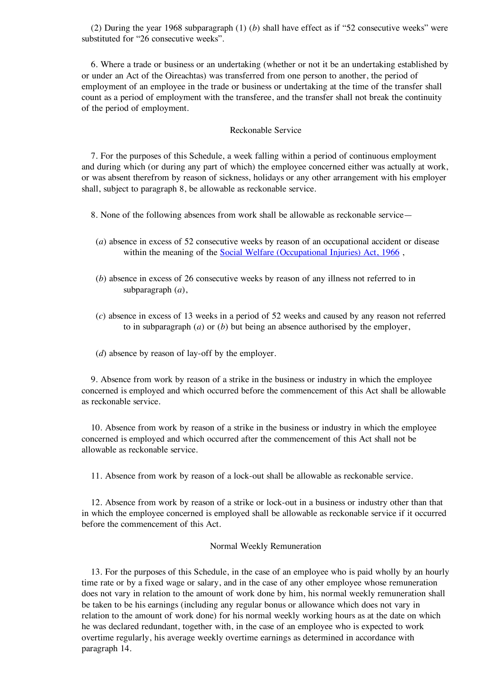(2) During the year 1968 subparagraph (1) (*b*) shall have effect as if "52 consecutive weeks" were substituted for "26 consecutive weeks".

6. Where a trade or business or an undertaking (whether or not it be an undertaking established by or under an Act of the Oireachtas) was transferred from one person to another, the period of employment of an employee in the trade or business or undertaking at the time of the transfer shall count as a period of employment with the transferee, and the transfer shall not break the continuity of the period of employment.

#### Reckonable Service

7. For the purposes of this Schedule, a week falling within a period of continuous employment and during which (or during any part of which) the employee concerned either was actually at work, or was absent therefrom by reason of sickness, holidays or any other arrangement with his employer shall, subject to paragraph 8, be allowable as reckonable service.

- 8. None of the following absences from work shall be allowable as reckonable service—
	- (*a*) absence in excess of 52 consecutive weeks by reason of an occupational accident or disease within the meaning of the Social Welfare [\(Occupational](http://www.irishstatutebook.ie/1966/en/act/pub/0016/index.html) Injuries) Act, 1966,
	- (*b*) absence in excess of 26 consecutive weeks by reason of any illness not referred to in subparagraph (*a*),
	- (*c*) absence in excess of 13 weeks in a period of 52 weeks and caused by any reason not referred to in subparagraph (*a*) or (*b*) but being an absence authorised by the employer,
	- (*d*) absence by reason of lay-off by the employer.

9. Absence from work by reason of a strike in the business or industry in which the employee concerned is employed and which occurred before the commencement of this Act shall be allowable as reckonable service.

10. Absence from work by reason of a strike in the business or industry in which the employee concerned is employed and which occurred after the commencement of this Act shall not be allowable as reckonable service.

11. Absence from work by reason of a lock-out shall be allowable as reckonable service.

12. Absence from work by reason of a strike or lock-out in a business or industry other than that in which the employee concerned is employed shall be allowable as reckonable service if it occurred before the commencement of this Act.

#### Normal Weekly Remuneration

13. For the purposes of this Schedule, in the case of an employee who is paid wholly by an hourly time rate or by a fixed wage or salary, and in the case of any other employee whose remuneration does not vary in relation to the amount of work done by him, his normal weekly remuneration shall be taken to be his earnings (including any regular bonus or allowance which does not vary in relation to the amount of work done) for his normal weekly working hours as at the date on which he was declared redundant, together with, in the case of an employee who is expected to work overtime regularly, his average weekly overtime earnings as determined in accordance with paragraph 14.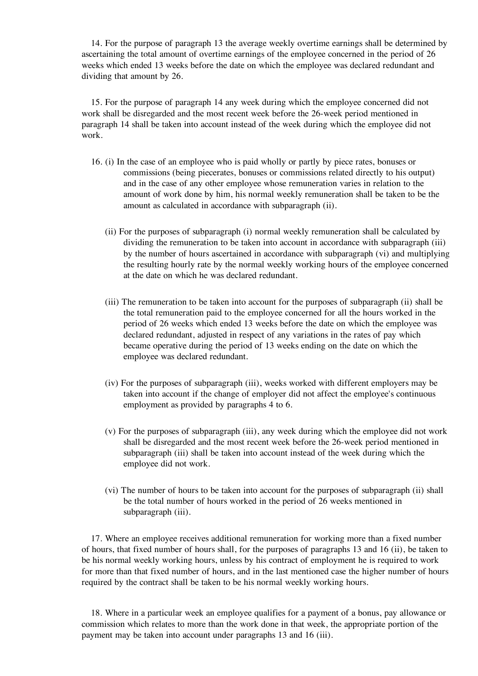14. For the purpose of paragraph 13 the average weekly overtime earnings shall be determined by ascertaining the total amount of overtime earnings of the employee concerned in the period of 26 weeks which ended 13 weeks before the date on which the employee was declared redundant and dividing that amount by 26.

15. For the purpose of paragraph 14 any week during which the employee concerned did not work shall be disregarded and the most recent week before the 26-week period mentioned in paragraph 14 shall be taken into account instead of the week during which the employee did not work.

- 16. (i) In the case of an employee who is paid wholly or partly by piece rates, bonuses or commissions (being piecerates, bonuses or commissions related directly to his output) and in the case of any other employee whose remuneration varies in relation to the amount of work done by him, his normal weekly remuneration shall be taken to be the amount as calculated in accordance with subparagraph (ii).
	- (ii) For the purposes of subparagraph (i) normal weekly remuneration shall be calculated by dividing the remuneration to be taken into account in accordance with subparagraph (iii) by the number of hours ascertained in accordance with subparagraph (vi) and multiplying the resulting hourly rate by the normal weekly working hours of the employee concerned at the date on which he was declared redundant.
	- (iii) The remuneration to be taken into account for the purposes of subparagraph (ii) shall be the total remuneration paid to the employee concerned for all the hours worked in the period of 26 weeks which ended 13 weeks before the date on which the employee was declared redundant, adjusted in respect of any variations in the rates of pay which became operative during the period of 13 weeks ending on the date on which the employee was declared redundant.
	- (iv) For the purposes of subparagraph (iii), weeks worked with different employers may be taken into account if the change of employer did not affect the employee's continuous employment as provided by paragraphs 4 to 6.
	- (v) For the purposes of subparagraph (iii), any week during which the employee did not work shall be disregarded and the most recent week before the 26-week period mentioned in subparagraph (iii) shall be taken into account instead of the week during which the employee did not work.
	- (vi) The number of hours to be taken into account for the purposes of subparagraph (ii) shall be the total number of hours worked in the period of 26 weeks mentioned in subparagraph (iii).

17. Where an employee receives additional remuneration for working more than a fixed number of hours, that fixed number of hours shall, for the purposes of paragraphs 13 and 16 (ii), be taken to be his normal weekly working hours, unless by his contract of employment he is required to work for more than that fixed number of hours, and in the last mentioned case the higher number of hours required by the contract shall be taken to be his normal weekly working hours.

18. Where in a particular week an employee qualifies for a payment of a bonus, pay allowance or commission which relates to more than the work done in that week, the appropriate portion of the payment may be taken into account under paragraphs 13 and 16 (iii).